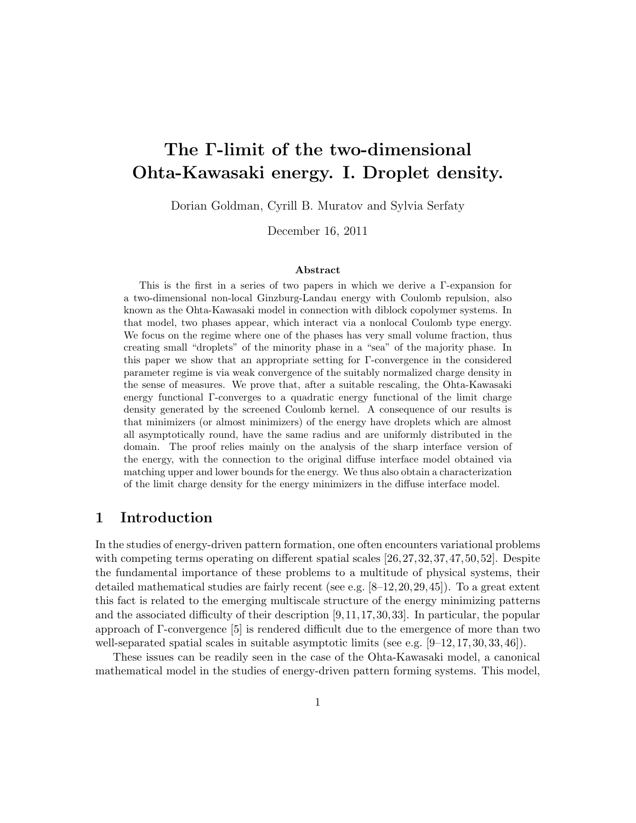# The Γ-limit of the two-dimensional Ohta-Kawasaki energy. I. Droplet density.

Dorian Goldman, Cyrill B. Muratov and Sylvia Serfaty

December 16, 2011

#### Abstract

This is the first in a series of two papers in which we derive a Γ-expansion for a two-dimensional non-local Ginzburg-Landau energy with Coulomb repulsion, also known as the Ohta-Kawasaki model in connection with diblock copolymer systems. In that model, two phases appear, which interact via a nonlocal Coulomb type energy. We focus on the regime where one of the phases has very small volume fraction, thus creating small "droplets" of the minority phase in a "sea" of the majority phase. In this paper we show that an appropriate setting for Γ-convergence in the considered parameter regime is via weak convergence of the suitably normalized charge density in the sense of measures. We prove that, after a suitable rescaling, the Ohta-Kawasaki energy functional Γ-converges to a quadratic energy functional of the limit charge density generated by the screened Coulomb kernel. A consequence of our results is that minimizers (or almost minimizers) of the energy have droplets which are almost all asymptotically round, have the same radius and are uniformly distributed in the domain. The proof relies mainly on the analysis of the sharp interface version of the energy, with the connection to the original diffuse interface model obtained via matching upper and lower bounds for the energy. We thus also obtain a characterization of the limit charge density for the energy minimizers in the diffuse interface model.

## 1 Introduction

In the studies of energy-driven pattern formation, one often encounters variational problems with competing terms operating on different spatial scales [26, 27, 32, 37, 47, 50, 52]. Despite the fundamental importance of these problems to a multitude of physical systems, their detailed mathematical studies are fairly recent (see e.g.  $[8-12, 20, 29, 45]$ ). To a great extent this fact is related to the emerging multiscale structure of the energy minimizing patterns and the associated difficulty of their description [9,11,17,30,33]. In particular, the popular approach of Γ-convergence [5] is rendered difficult due to the emergence of more than two well-separated spatial scales in suitable asymptotic limits (see e.g.  $[9-12, 17, 30, 33, 46]$ ).

These issues can be readily seen in the case of the Ohta-Kawasaki model, a canonical mathematical model in the studies of energy-driven pattern forming systems. This model,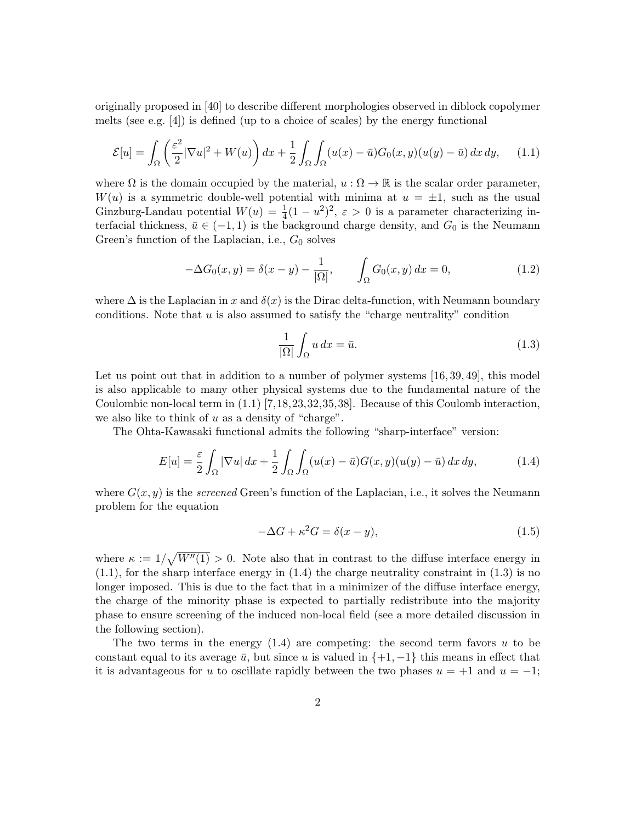originally proposed in [40] to describe different morphologies observed in diblock copolymer melts (see e.g. [4]) is defined (up to a choice of scales) by the energy functional

$$
\mathcal{E}[u] = \int_{\Omega} \left( \frac{\varepsilon^2}{2} |\nabla u|^2 + W(u) \right) dx + \frac{1}{2} \int_{\Omega} \int_{\Omega} (u(x) - \bar{u}) G_0(x, y) (u(y) - \bar{u}) dx dy, \quad (1.1)
$$

where  $\Omega$  is the domain occupied by the material,  $u : \Omega \to \mathbb{R}$  is the scalar order parameter,  $W(u)$  is a symmetric double-well potential with minima at  $u = \pm 1$ , such as the usual Ginzburg-Landau potential  $W(u) = \frac{1}{4}(1 - u^2)^2$ ,  $\varepsilon > 0$  is a parameter characterizing interfacial thickness,  $\bar{u} \in (-1, 1)$  is the background charge density, and  $G_0$  is the Neumann Green's function of the Laplacian, i.e.,  $G_0$  solves

$$
-\Delta G_0(x, y) = \delta(x - y) - \frac{1}{|\Omega|}, \qquad \int_{\Omega} G_0(x, y) dx = 0,
$$
\n(1.2)

where  $\Delta$  is the Laplacian in x and  $\delta(x)$  is the Dirac delta-function, with Neumann boundary conditions. Note that  $u$  is also assumed to satisfy the "charge neutrality" condition

$$
\frac{1}{|\Omega|} \int_{\Omega} u \, dx = \bar{u}.\tag{1.3}
$$

Let us point out that in addition to a number of polymer systems [16, 39, 49], this model is also applicable to many other physical systems due to the fundamental nature of the Coulombic non-local term in (1.1) [7,18,23,32,35,38]. Because of this Coulomb interaction, we also like to think of  $u$  as a density of "charge".

The Ohta-Kawasaki functional admits the following "sharp-interface" version:

$$
E[u] = \frac{\varepsilon}{2} \int_{\Omega} |\nabla u| \, dx + \frac{1}{2} \int_{\Omega} \int_{\Omega} (u(x) - \bar{u}) G(x, y)(u(y) - \bar{u}) \, dx \, dy,\tag{1.4}
$$

where  $G(x, y)$  is the *screened* Green's function of the Laplacian, i.e., it solves the Neumann problem for the equation

$$
-\Delta G + \kappa^2 G = \delta(x - y),\tag{1.5}
$$

where  $\kappa := 1/\sqrt{W''(1)} > 0$ . Note also that in contrast to the diffuse interface energy in  $(1.1)$ , for the sharp interface energy in  $(1.4)$  the charge neutrality constraint in  $(1.3)$  is no longer imposed. This is due to the fact that in a minimizer of the diffuse interface energy, the charge of the minority phase is expected to partially redistribute into the majority phase to ensure screening of the induced non-local field (see a more detailed discussion in the following section).

The two terms in the energy  $(1.4)$  are competing: the second term favors u to be constant equal to its average  $\bar{u}$ , but since u is valued in  $\{+1, -1\}$  this means in effect that it is advantageous for u to oscillate rapidly between the two phases  $u = +1$  and  $u = -1$ ;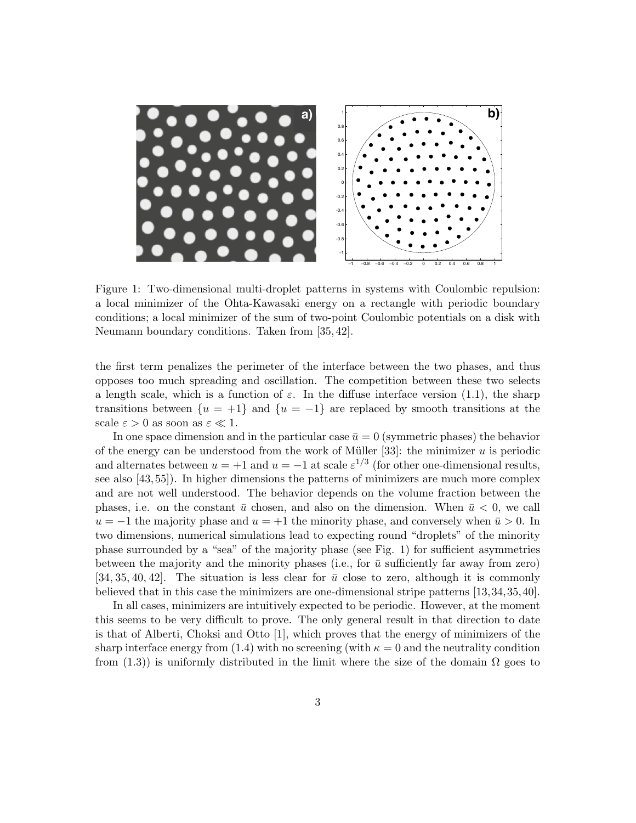

Figure 1: Two-dimensional multi-droplet patterns in systems with Coulombic repulsion: conditions; a local minimizer of the sum of two-point Coulombic potentials on a disk with Neumann boundary conditions. Taken from [35,42]. a local minimizer of the Ohta-Kawasaki energy on a rectangle with periodic boundary

the first term penalizes the perimeter of the interface between the two phases, and thus 2 Ω 2 Ω Ω opposes too much spreading and oscillation. The competition between these two selects a length scale, which is a function of  $\varepsilon$ . In the diffuse interface version (1.1), the sharp transitions between  $\{u = +1\}$  and  $\{u = -1\}$  are replaced by smooth transitions at the  $\text{scale } \varepsilon > 0 \text{ as soon as } \varepsilon \ll 1.$ 

In one space dimension and in the particular case  $\bar{u} = 0$  (symmetric phases) the behavior of the energy can be understood from the work of Müller [33]: the minimizer u is periodic and alternates between  $u = +1$  and  $u = -1$  at scale  $\varepsilon^{1/3}$  (for other one-dimensional results,  $\frac{d}{dx}$  are diffused by  $\frac{d}{dx}$  interface energy  $\frac{d}{dx}$  interface  $\frac{d}{dx}$  of with an externe of with an externe of with an extensions the patterns of wind extra factor of  $[43, 55]$ ). In higher dimensions the patterns of minimizers are much more complex and are not well understood. The behavior depends on the volume fraction between the phases, i.e. on the constant  $\bar{u}$  chosen, and also on the dimension. When  $\bar{u}$  < 0, we call  $u = -1$  the majority phase and  $u = +1$  the minority phase, and conversely when  $\bar{u} > 0$ . In two dimensions, numerical simulations lead to expecting round "droplets" of the minority In this paper, we relation between the relationship interface energy interface energy interface energy interface  $\frac{1}{\sqrt{N}}$ phase surrounded by a "sea" of the majority phase (see Fig. 1) for sufficient asymmetries between the majority and the minority phases (i.e., for  $\bar{u}$  sufficiently far away from zero) [34, 35, 40, 42]. The situation is less clear for  $\bar{u}$  close to zero, although it is commonly believed that in this case the minimizers are one-dimensional stripe patterns [13,34,35,40].

In all cases, minimizers are intuitively expected to be periodic. However, at the moment this seems to be very difficult to prove. The only general result in that direction to date is that of Alberti, Choksi and Otto [1], which proves that the energy of minimizers of the sharp interface energy from (1.4) with no screening (with  $\kappa = 0$  and the neutrality condition from (1.3)) is uniformly distributed in the limit where the size of the domain  $\Omega$  goes to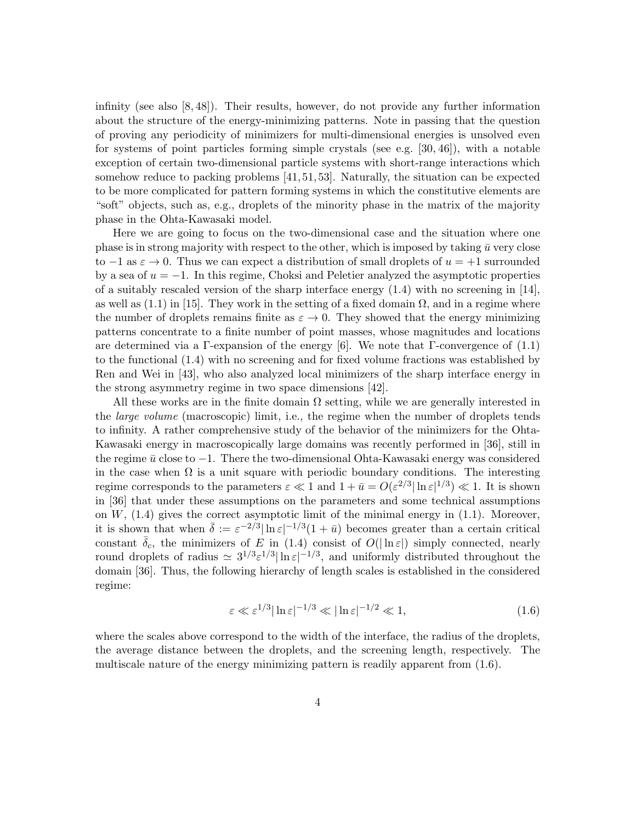infinity (see also [8, 48]). Their results, however, do not provide any further information about the structure of the energy-minimizing patterns. Note in passing that the question of proving any periodicity of minimizers for multi-dimensional energies is unsolved even for systems of point particles forming simple crystals (see e.g. [30, 46]), with a notable exception of certain two-dimensional particle systems with short-range interactions which somehow reduce to packing problems [41, 51, 53]. Naturally, the situation can be expected to be more complicated for pattern forming systems in which the constitutive elements are "soft" objects, such as, e.g., droplets of the minority phase in the matrix of the majority phase in the Ohta-Kawasaki model.

Here we are going to focus on the two-dimensional case and the situation where one phase is in strong majority with respect to the other, which is imposed by taking  $\bar{u}$  very close to  $-1$  as  $\varepsilon \to 0$ . Thus we can expect a distribution of small droplets of  $u = +1$  surrounded by a sea of  $u = -1$ . In this regime, Choksi and Peletier analyzed the asymptotic properties of a suitably rescaled version of the sharp interface energy  $(1.4)$  with no screening in [14], as well as (1.1) in [15]. They work in the setting of a fixed domain  $\Omega$ , and in a regime where the number of droplets remains finite as  $\varepsilon \to 0$ . They showed that the energy minimizing patterns concentrate to a finite number of point masses, whose magnitudes and locations are determined via a Γ-expansion of the energy [6]. We note that Γ-convergence of  $(1.1)$ to the functional (1.4) with no screening and for fixed volume fractions was established by Ren and Wei in [43], who also analyzed local minimizers of the sharp interface energy in the strong asymmetry regime in two space dimensions [42].

All these works are in the finite domain  $\Omega$  setting, while we are generally interested in the *large volume* (macroscopic) limit, i.e., the regime when the number of droplets tends to infinity. A rather comprehensive study of the behavior of the minimizers for the Ohta-Kawasaki energy in macroscopically large domains was recently performed in [36], still in the regime  $\bar{u}$  close to  $-1$ . There the two-dimensional Ohta-Kawasaki energy was considered in the case when  $\Omega$  is a unit square with periodic boundary conditions. The interesting regime corresponds to the parameters  $\varepsilon \ll 1$  and  $1 + \bar{u} = O(\varepsilon^{2/3} |\ln \varepsilon|^{1/3}) \ll 1$ . It is shown in [36] that under these assumptions on the parameters and some technical assumptions on  $W$ ,  $(1.4)$  gives the correct asymptotic limit of the minimal energy in  $(1.1)$ . Moreover, it is shown that when  $\bar{\delta} := \varepsilon^{-2/3} |\ln \varepsilon|^{-1/3} (1 + \bar{u})$  becomes greater than a certain critical constant  $\overline{\delta}_c$ , the minimizers of E in (1.4) consist of  $O(|\ln \varepsilon|)$  simply connected, nearly round droplets of radius  $\approx 3^{1/3} \varepsilon^{1/3} |\ln \varepsilon|^{-1/3}$ , and uniformly distributed throughout the domain [36]. Thus, the following hierarchy of length scales is established in the considered regime:

$$
\varepsilon \ll \varepsilon^{1/3} |\ln \varepsilon|^{-1/3} \ll |\ln \varepsilon|^{-1/2} \ll 1,
$$
\n(1.6)

where the scales above correspond to the width of the interface, the radius of the droplets, the average distance between the droplets, and the screening length, respectively. The multiscale nature of the energy minimizing pattern is readily apparent from (1.6).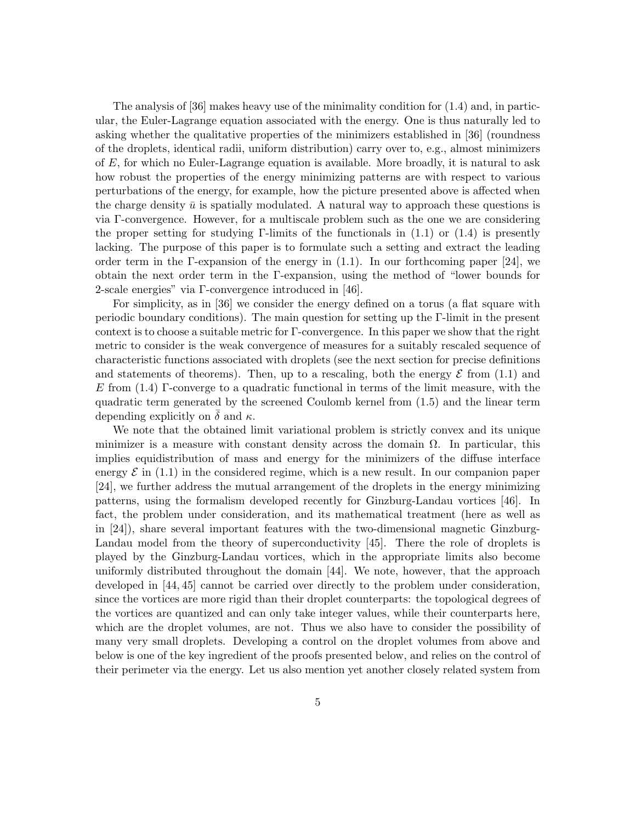The analysis of  $[36]$  makes heavy use of the minimality condition for  $(1.4)$  and, in particular, the Euler-Lagrange equation associated with the energy. One is thus naturally led to asking whether the qualitative properties of the minimizers established in [36] (roundness of the droplets, identical radii, uniform distribution) carry over to, e.g., almost minimizers of E, for which no Euler-Lagrange equation is available. More broadly, it is natural to ask how robust the properties of the energy minimizing patterns are with respect to various perturbations of the energy, for example, how the picture presented above is affected when the charge density  $\bar{u}$  is spatially modulated. A natural way to approach these questions is via Γ-convergence. However, for a multiscale problem such as the one we are considering the proper setting for studying Γ-limits of the functionals in  $(1.1)$  or  $(1.4)$  is presently lacking. The purpose of this paper is to formulate such a setting and extract the leading order term in the Γ-expansion of the energy in  $(1.1)$ . In our forthcoming paper [24], we obtain the next order term in the Γ-expansion, using the method of "lower bounds for 2-scale energies" via Γ-convergence introduced in [46].

For simplicity, as in [36] we consider the energy defined on a torus (a flat square with periodic boundary conditions). The main question for setting up the Γ-limit in the present context is to choose a suitable metric for Γ-convergence. In this paper we show that the right metric to consider is the weak convergence of measures for a suitably rescaled sequence of characteristic functions associated with droplets (see the next section for precise definitions and statements of theorems). Then, up to a rescaling, both the energy  $\mathcal E$  from (1.1) and E from  $(1.4)$  Γ-converge to a quadratic functional in terms of the limit measure, with the quadratic term generated by the screened Coulomb kernel from (1.5) and the linear term depending explicitly on  $\delta$  and  $\kappa$ .

We note that the obtained limit variational problem is strictly convex and its unique minimizer is a measure with constant density across the domain  $\Omega$ . In particular, this implies equidistribution of mass and energy for the minimizers of the diffuse interface energy  $\mathcal E$  in (1.1) in the considered regime, which is a new result. In our companion paper [24], we further address the mutual arrangement of the droplets in the energy minimizing patterns, using the formalism developed recently for Ginzburg-Landau vortices [46]. In fact, the problem under consideration, and its mathematical treatment (here as well as in [24]), share several important features with the two-dimensional magnetic Ginzburg-Landau model from the theory of superconductivity [45]. There the role of droplets is played by the Ginzburg-Landau vortices, which in the appropriate limits also become uniformly distributed throughout the domain [44]. We note, however, that the approach developed in [44, 45] cannot be carried over directly to the problem under consideration, since the vortices are more rigid than their droplet counterparts: the topological degrees of the vortices are quantized and can only take integer values, while their counterparts here, which are the droplet volumes, are not. Thus we also have to consider the possibility of many very small droplets. Developing a control on the droplet volumes from above and below is one of the key ingredient of the proofs presented below, and relies on the control of their perimeter via the energy. Let us also mention yet another closely related system from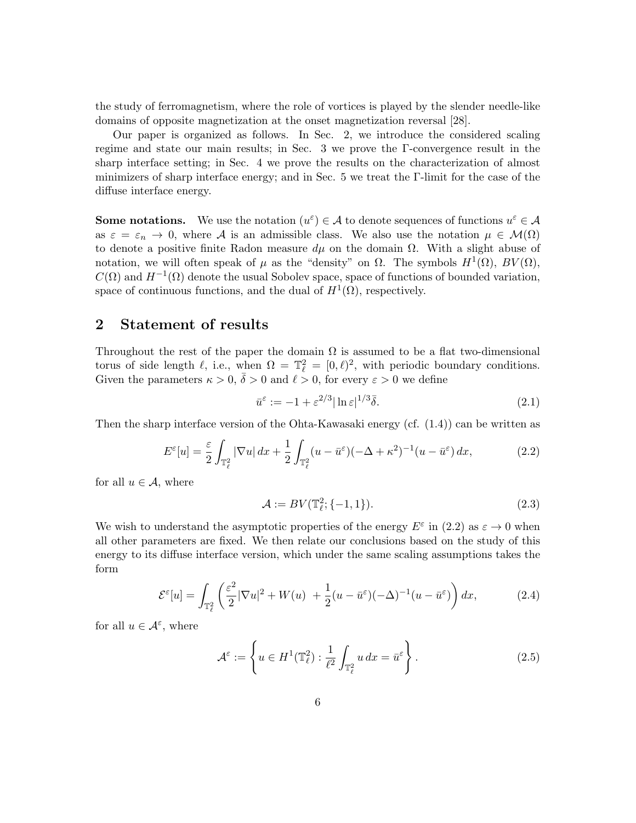the study of ferromagnetism, where the role of vortices is played by the slender needle-like domains of opposite magnetization at the onset magnetization reversal [28].

Our paper is organized as follows. In Sec. 2, we introduce the considered scaling regime and state our main results; in Sec. 3 we prove the Γ-convergence result in the sharp interface setting; in Sec. 4 we prove the results on the characterization of almost minimizers of sharp interface energy; and in Sec. 5 we treat the Γ-limit for the case of the diffuse interface energy.

**Some notations.** We use the notation  $(u^{\varepsilon}) \in \mathcal{A}$  to denote sequences of functions  $u^{\varepsilon} \in \mathcal{A}$ as  $\varepsilon = \varepsilon_n \to 0$ , where A is an admissible class. We also use the notation  $\mu \in \mathcal{M}(\Omega)$ to denote a positive finite Radon measure  $d\mu$  on the domain  $\Omega$ . With a slight abuse of notation, we will often speak of  $\mu$  as the "density" on  $\Omega$ . The symbols  $H^1(\Omega)$ ,  $BV(\Omega)$ ,  $C(\Omega)$  and  $H^{-1}(\Omega)$  denote the usual Sobolev space, space of functions of bounded variation, space of continuous functions, and the dual of  $H^1(\Omega)$ , respectively.

## 2 Statement of results

Throughout the rest of the paper the domain  $\Omega$  is assumed to be a flat two-dimensional torus of side length  $\ell$ , i.e., when  $\Omega = \mathbb{T}_{\ell}^2 = [0, \ell)^2$ , with periodic boundary conditions. Given the parameters  $\kappa > 0$ ,  $\bar{\delta} > 0$  and  $\ell > 0$ , for every  $\varepsilon > 0$  we define

$$
\bar{u}^{\varepsilon} := -1 + \varepsilon^{2/3} |\ln \varepsilon|^{1/3} \bar{\delta}.
$$
\n(2.1)

Then the sharp interface version of the Ohta-Kawasaki energy (cf. (1.4)) can be written as

$$
E^{\varepsilon}[u] = \frac{\varepsilon}{2} \int_{\mathbb{T}_{\ell}^{2}} |\nabla u| dx + \frac{1}{2} \int_{\mathbb{T}_{\ell}^{2}} (u - \bar{u}^{\varepsilon})(-\Delta + \kappa^{2})^{-1} (u - \bar{u}^{\varepsilon}) dx, \tag{2.2}
$$

for all  $u \in \mathcal{A}$ , where

$$
\mathcal{A} := BV(\mathbb{T}_{\ell}^2; \{-1, 1\}).
$$
\n(2.3)

We wish to understand the asymptotic properties of the energy  $E^{\varepsilon}$  in (2.2) as  $\varepsilon \to 0$  when all other parameters are fixed. We then relate our conclusions based on the study of this energy to its diffuse interface version, which under the same scaling assumptions takes the form

$$
\mathcal{E}^{\varepsilon}[u] = \int_{\mathbb{T}_{\ell}^{2}} \left( \frac{\varepsilon^{2}}{2} |\nabla u|^{2} + W(u) + \frac{1}{2} (u - \bar{u}^{\varepsilon})(-\Delta)^{-1} (u - \bar{u}^{\varepsilon}) \right) dx, \tag{2.4}
$$

for all  $u \in \mathcal{A}^{\varepsilon}$ , where

$$
\mathcal{A}^{\varepsilon} := \left\{ u \in H^{1}(\mathbb{T}_{\ell}^{2}) : \frac{1}{\ell^{2}} \int_{\mathbb{T}_{\ell}^{2}} u \, dx = \bar{u}^{\varepsilon} \right\}.
$$
 (2.5)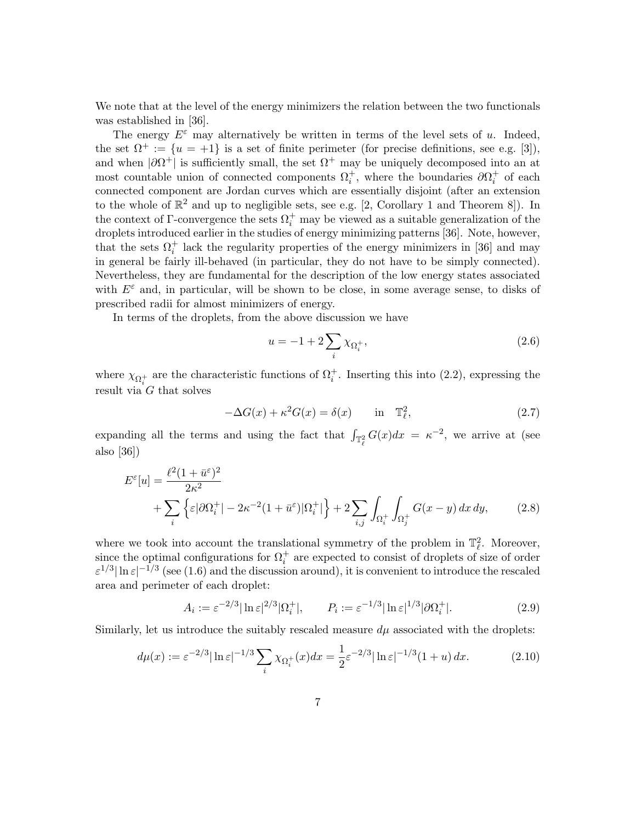We note that at the level of the energy minimizers the relation between the two functionals was established in [36].

The energy  $E^{\varepsilon}$  may alternatively be written in terms of the level sets of u. Indeed, the set  $\Omega^+ := \{u = +1\}$  is a set of finite perimeter (for precise definitions, see e.g. [3]), and when  $|\partial \Omega^+|$  is sufficiently small, the set  $\Omega^+$  may be uniquely decomposed into an at most countable union of connected components  $\Omega_i^+$ , where the boundaries  $\partial \Omega_i^+$  of each connected component are Jordan curves which are essentially disjoint (after an extension to the whole of  $\mathbb{R}^2$  and up to negligible sets, see e.g. [2, Corollary 1 and Theorem 8]). In the context of  $\Gamma$ -convergence the sets  $\Omega_i^+$  may be viewed as a suitable generalization of the droplets introduced earlier in the studies of energy minimizing patterns [36]. Note, however, that the sets  $\Omega_i^+$  lack the regularity properties of the energy minimizers in [36] and may in general be fairly ill-behaved (in particular, they do not have to be simply connected). Nevertheless, they are fundamental for the description of the low energy states associated with  $E^{\varepsilon}$  and, in particular, will be shown to be close, in some average sense, to disks of prescribed radii for almost minimizers of energy.

In terms of the droplets, from the above discussion we have

$$
u = -1 + 2\sum_{i} \chi_{\Omega_i^+},\tag{2.6}
$$

where  $\chi_{\Omega_i^+}$  are the characteristic functions of  $\Omega_i^+$ . Inserting this into (2.2), expressing the result via  $G$  that solves

$$
-\Delta G(x) + \kappa^2 G(x) = \delta(x) \quad \text{in} \quad \mathbb{T}_{\ell}^2,\tag{2.7}
$$

expanding all the terms and using the fact that  $\int_{\mathbb{T}_\ell^2} G(x) dx = \kappa^{-2}$ , we arrive at (see also [36])

$$
E^{\varepsilon}[u] = \frac{\ell^2 (1 + \bar{u}^{\varepsilon})^2}{2\kappa^2} + \sum_{i} \left\{ \varepsilon |\partial \Omega_i^+| - 2\kappa^{-2} (1 + \bar{u}^{\varepsilon}) |\Omega_i^+| \right\} + 2 \sum_{i,j} \int_{\Omega_i^+} \int_{\Omega_j^+} G(x - y) \, dx \, dy,\tag{2.8}
$$

where we took into account the translational symmetry of the problem in  $\mathbb{T}^2_{\ell}$ . Moreover, where we took mio account the translational symmetry of the problem in  $\mathbb{I}_{\ell}$ . Moreover,<br>since the optimal configurations for  $\Omega_i^+$  are expected to consist of droplets of size of order  $\varepsilon^{1/3}|\ln\varepsilon|^{-1/3}$  (see (1.6) and the discussion around), it is convenient to introduce the rescaled area and perimeter of each droplet:

$$
A_i := \varepsilon^{-2/3} |\ln \varepsilon|^{2/3} |\Omega_i^+|, \qquad P_i := \varepsilon^{-1/3} |\ln \varepsilon|^{1/3} |\partial \Omega_i^+|.
$$
 (2.9)

Similarly, let us introduce the suitably rescaled measure  $d\mu$  associated with the droplets:

$$
d\mu(x) := \varepsilon^{-2/3} |\ln \varepsilon|^{-1/3} \sum_{i} \chi_{\Omega_i^+}(x) dx = \frac{1}{2} \varepsilon^{-2/3} |\ln \varepsilon|^{-1/3} (1+u) dx.
$$
 (2.10)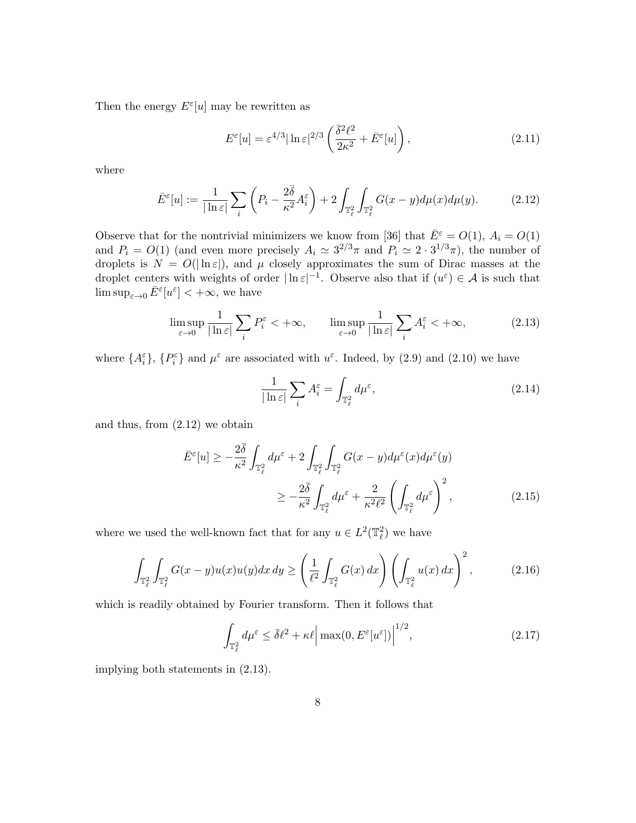Then the energy  $E^{\varepsilon}[u]$  may be rewritten as

$$
E^{\varepsilon}[u] = \varepsilon^{4/3} |\ln \varepsilon|^{2/3} \left( \frac{\bar{\delta}^2 \ell^2}{2\kappa^2} + \bar{E}^{\varepsilon}[u] \right), \tag{2.11}
$$

where

$$
\bar{E}^{\varepsilon}[u] := \frac{1}{|\ln \varepsilon|} \sum_{i} \left( P_i - \frac{2\bar{\delta}}{\kappa^2} A_i^{\varepsilon} \right) + 2 \int_{\mathbb{T}_{\ell}^2} \int_{\mathbb{T}_{\ell}^2} G(x - y) d\mu(x) d\mu(y). \tag{2.12}
$$

Observe that for the nontrivial minimizers we know from [36] that  $\bar{E}^{\varepsilon} = O(1), A_{i} = O(1)$ and  $P_i = O(1)$  (and even more precisely  $A_i \simeq 3^{2/3}\pi$  and  $P_i \simeq 2 \cdot 3^{1/3}\pi$ ), the number of droplets is  $N = O(|\ln \varepsilon|)$ , and  $\mu$  closely approximates the sum of Dirac masses at the droplet centers with weights of order  $|\ln \varepsilon|^{-1}$ . Observe also that if  $(u^{\varepsilon}) \in \mathcal{A}$  is such that  $\limsup_{\varepsilon\to 0} \bar{E}^{\varepsilon}[u^{\varepsilon}] < +\infty$ , we have

$$
\limsup_{\varepsilon \to 0} \frac{1}{|\ln \varepsilon|} \sum_{i} P_i^{\varepsilon} < +\infty, \qquad \limsup_{\varepsilon \to 0} \frac{1}{|\ln \varepsilon|} \sum_{i} A_i^{\varepsilon} < +\infty,
$$
\n(2.13)

where  $\{A_i^{\varepsilon}\}, \{P_i^{\varepsilon}\}\$  and  $\mu^{\varepsilon}$  are associated with  $u^{\varepsilon}$ . Indeed, by (2.9) and (2.10) we have

$$
\frac{1}{|\ln \varepsilon|} \sum_{i} A_i^{\varepsilon} = \int_{\mathbb{T}_{\ell}^2} d\mu^{\varepsilon},\tag{2.14}
$$

and thus, from (2.12) we obtain

$$
\bar{E}^{\varepsilon}[u] \ge -\frac{2\bar{\delta}}{\kappa^2} \int_{\mathbb{T}_{\ell}^2} d\mu^{\varepsilon} + 2 \int_{\mathbb{T}_{\ell}^2} \int_{\mathbb{T}_{\ell}^2} G(x - y) d\mu^{\varepsilon}(x) d\mu^{\varepsilon}(y)
$$

$$
\ge -\frac{2\bar{\delta}}{\kappa^2} \int_{\mathbb{T}_{\ell}^2} d\mu^{\varepsilon} + \frac{2}{\kappa^2 \ell^2} \left( \int_{\mathbb{T}_{\ell}^2} d\mu^{\varepsilon} \right)^2, \tag{2.15}
$$

where we used the well-known fact that for any  $u \in L^2(\mathbb{T}_\ell^2)$  we have

$$
\int_{\mathbb{T}_{\ell}^2} \int_{\mathbb{T}_{\ell}^2} G(x - y) u(x) u(y) dx dy \ge \left(\frac{1}{\ell^2} \int_{\mathbb{T}_{\ell}^2} G(x) dx\right) \left(\int_{\mathbb{T}_{\ell}^2} u(x) dx\right)^2, \tag{2.16}
$$

which is readily obtained by Fourier transform. Then it follows that

$$
\int_{\mathbb{T}_{\ell}^2} d\mu^{\varepsilon} \le \bar{\delta}\ell^2 + \kappa\ell \left| \max(0, E^{\varepsilon}[u^{\varepsilon}]) \right|^{1/2},\tag{2.17}
$$

implying both statements in (2.13).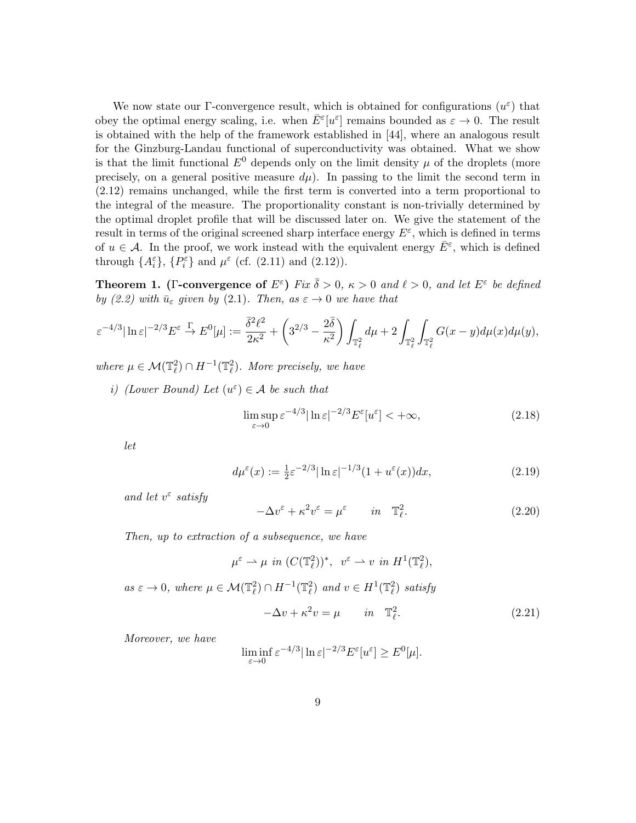We now state our Γ-convergence result, which is obtained for configurations  $(u^{\varepsilon})$  that obey the optimal energy scaling, i.e. when  $\bar{E}^{\varepsilon}[u^{\varepsilon}]$  remains bounded as  $\varepsilon \to 0$ . The result is obtained with the help of the framework established in [44], where an analogous result for the Ginzburg-Landau functional of superconductivity was obtained. What we show is that the limit functional  $E^0$  depends only on the limit density  $\mu$  of the droplets (more precisely, on a general positive measure  $d\mu$ ). In passing to the limit the second term in (2.12) remains unchanged, while the first term is converted into a term proportional to the integral of the measure. The proportionality constant is non-trivially determined by the optimal droplet profile that will be discussed later on. We give the statement of the result in terms of the original screened sharp interface energy  $E^{\varepsilon}$ , which is defined in terms of  $u \in \mathcal{A}$ . In the proof, we work instead with the equivalent energy  $\bar{E}^{\varepsilon}$ , which is defined through  $\{A_i^{\varepsilon}\}, \{P_i^{\varepsilon}\}\$  and  $\mu^{\varepsilon}$  (cf. (2.11) and (2.12)).

**Theorem 1.** (Γ-convergence of  $E^{\varepsilon}$ ) Fix  $\overline{\delta} > 0$ ,  $\kappa > 0$  and  $\ell > 0$ , and let  $E^{\varepsilon}$  be defined by (2.2) with  $\bar{u}_{\varepsilon}$  given by (2.1). Then, as  $\varepsilon \to 0$  we have that

$$
\varepsilon^{-4/3}|\ln \varepsilon|^{-2/3} E^{\varepsilon} \stackrel{\Gamma}{\to} E^0[\mu] := \frac{\overline{\delta}^2 \ell^2}{2\kappa^2} + \left(3^{2/3} - \frac{2\overline{\delta}}{\kappa^2}\right) \int_{\mathbb{T}_\ell^2} d\mu + 2 \int_{\mathbb{T}_\ell^2} \int_{\mathbb{T}_\ell^2} G(x - y) d\mu(x) d\mu(y),
$$

where  $\mu \in \mathcal{M}(\mathbb{T}_{\ell}^2) \cap H^{-1}(\mathbb{T}_{\ell}^2)$ . More precisely, we have

*i*) (Lower Bound) Let  $(u^{\varepsilon}) \in A$  be such that

$$
\limsup_{\varepsilon \to 0} \varepsilon^{-4/3} |\ln \varepsilon|^{-2/3} E^{\varepsilon}[u^{\varepsilon}] < +\infty,
$$
\n(2.18)

let

$$
d\mu^{\varepsilon}(x) := \frac{1}{2}\varepsilon^{-2/3}|\ln \varepsilon|^{-1/3} (1 + u^{\varepsilon}(x))dx,\tag{2.19}
$$

and let  $v^{\varepsilon}$  satisfy

$$
-\Delta v^{\varepsilon} + \kappa^2 v^{\varepsilon} = \mu^{\varepsilon} \qquad in \quad \mathbb{T}_{\ell}^2.
$$
 (2.20)

Then, up to extraction of a subsequence, we have

$$
\mu^{\varepsilon} \rightharpoonup \mu \quad in \ (C(\mathbb{T}_{\ell}^2))^*, \quad v^{\varepsilon} \rightharpoonup v \quad in \ \ H^1(\mathbb{T}_{\ell}^2),
$$

as  $\varepsilon \to 0$ , where  $\mu \in \mathcal{M}(\mathbb{T}_\ell^2) \cap H^{-1}(\mathbb{T}_\ell^2)$  and  $v \in H^1(\mathbb{T}_\ell^2)$  satisfy

$$
-\Delta v + \kappa^2 v = \mu \qquad in \quad \mathbb{T}_{\ell}^2.
$$
 (2.21)

Moreover, we have

$$
\liminf_{\varepsilon \to 0} \varepsilon^{-4/3} |\ln \varepsilon|^{-2/3} E^{\varepsilon}[u^{\varepsilon}] \ge E^{0}[\mu].
$$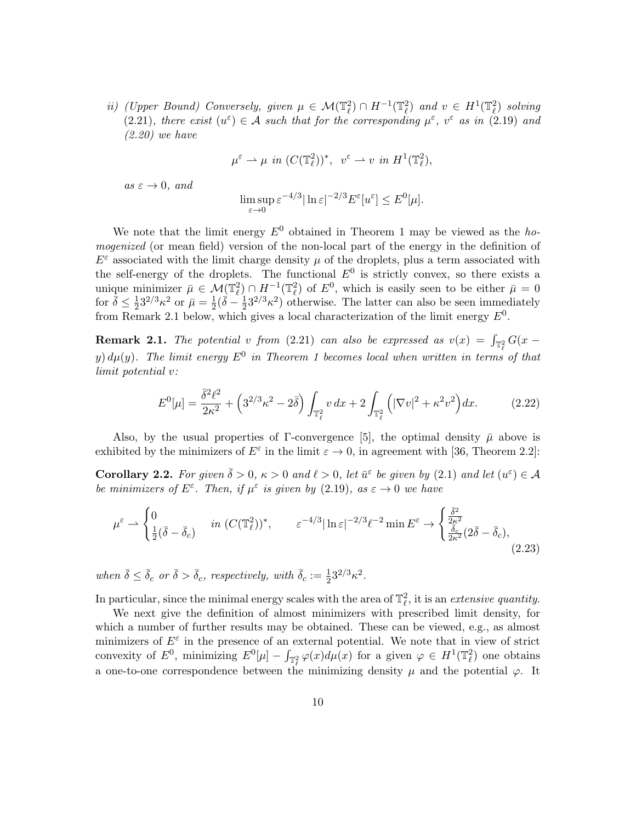ii) (Upper Bound) Conversely, given  $\mu \in \mathcal{M}(\mathbb{T}_\ell^2) \cap H^{-1}(\mathbb{T}_\ell^2)$  and  $v \in H^1(\mathbb{T}_\ell^2)$  solving (2.21), there exist  $(u^{\varepsilon}) \in \mathcal{A}$  such that for the corresponding  $\mu^{\varepsilon}$ ,  $v^{\varepsilon}$  as in (2.19) and (2.20) we have

$$
\mu^{\varepsilon} \rightharpoonup \mu \quad in \ (C(\mathbb{T}_{\ell}^2))^*, \ \ v^{\varepsilon} \rightharpoonup v \ \ in \ H^1(\mathbb{T}_{\ell}^2),
$$

 $as \varepsilon \to 0$ , and

$$
\limsup_{\varepsilon \to 0} \varepsilon^{-4/3} |\ln \varepsilon|^{-2/3} E^{\varepsilon}[u^{\varepsilon}] \le E^{0}[\mu].
$$

We note that the limit energy  $E^0$  obtained in Theorem 1 may be viewed as the homogenized (or mean field) version of the non-local part of the energy in the definition of  $E^{\varepsilon}$  associated with the limit charge density  $\mu$  of the droplets, plus a term associated with the self-energy of the droplets. The functional  $E^0$  is strictly convex, so there exists a unique minimizer  $\bar{\mu} \in \mathcal{M}(\mathbb{T}_{\ell}^2) \cap H^{-1}(\mathbb{T}_{\ell}^2)$  of  $E^0$ , which is easily seen to be either  $\bar{\mu} = 0$ for  $\bar{\delta} \leq \frac{1}{2}$  $\frac{1}{2}3^{2/3}\kappa^2$  or  $\bar{\mu} = \frac{1}{2}$  $\frac{1}{2}(\bar{\delta}-\frac{1}{2}% )^{2}/3$  $\frac{1}{2}3^{2/3}\kappa^2$ ) otherwise. The latter can also be seen immediately from Remark 2.1 below, which gives a local characterization of the limit energy  $E^0$ .

**Remark 2.1.** The potential v from (2.21) can also be expressed as  $v(x) = \int_{\mathbb{T}_\rho^2} G(x$ y)  $d\mu(y)$ . The limit energy  $E^0$  in Theorem 1 becomes local when written in terms of that limit potential v:

$$
E^{0}[\mu] = \frac{\bar{\delta}^{2} \ell^{2}}{2\kappa^{2}} + \left(3^{2/3} \kappa^{2} - 2\bar{\delta}\right) \int_{\mathbb{T}_{\ell}^{2}} v \, dx + 2 \int_{\mathbb{T}_{\ell}^{2}} \left( |\nabla v|^{2} + \kappa^{2} v^{2} \right) dx. \tag{2.22}
$$

Also, by the usual properties of  $\Gamma$ -convergence [5], the optimal density  $\bar{\mu}$  above is exhibited by the minimizers of  $E^{\varepsilon}$  in the limit  $\varepsilon \to 0$ , in agreement with [36, Theorem 2.2]:

**Corollary 2.2.** For given  $\bar{\delta} > 0$ ,  $\kappa > 0$  and  $\ell > 0$ , let  $\bar{u}^{\varepsilon}$  be given by (2.1) and let  $(u^{\varepsilon}) \in \mathcal{A}$ be minimizers of  $E^{\varepsilon}$ . Then, if  $\mu^{\varepsilon}$  is given by (2.19), as  $\varepsilon \to 0$  we have

$$
\mu^{\varepsilon} \rightharpoonup \begin{cases} 0 & \text{in } (C(\mathbb{T}_{\ell}^{2}))^{*}, \qquad \varepsilon^{-4/3} |\ln \varepsilon|^{-2/3} \ell^{-2} \min E^{\varepsilon} \rightharpoonup \begin{cases} \frac{\bar{\delta}^{2}}{2\kappa^{2}}\\ \frac{\bar{\delta}_{c}}{2\kappa^{2}}(2\bar{\delta}-\bar{\delta}_{c}), \end{cases} \tag{2.23}
$$

when  $\bar{\delta} \leq \bar{\delta}_c$  or  $\bar{\delta} > \bar{\delta}_c$ , respectively, with  $\bar{\delta}_c := \frac{1}{2}3^{2/3} \kappa^2$ .

In particular, since the minimal energy scales with the area of  $\mathbb{T}_{\ell}^2$ , it is an *extensive quantity*.

We next give the definition of almost minimizers with prescribed limit density, for which a number of further results may be obtained. These can be viewed, e.g., as almost minimizers of  $E^{\varepsilon}$  in the presence of an external potential. We note that in view of strict convexity of  $E^0$ , minimizing  $E^0[\mu] - \int_{\mathbb{T}_\ell^2} \varphi(x) d\mu(x)$  for a given  $\varphi \in H^1(\mathbb{T}_\ell^2)$  one obtains a one-to-one correspondence between the minimizing density  $\mu$  and the potential  $\varphi$ . It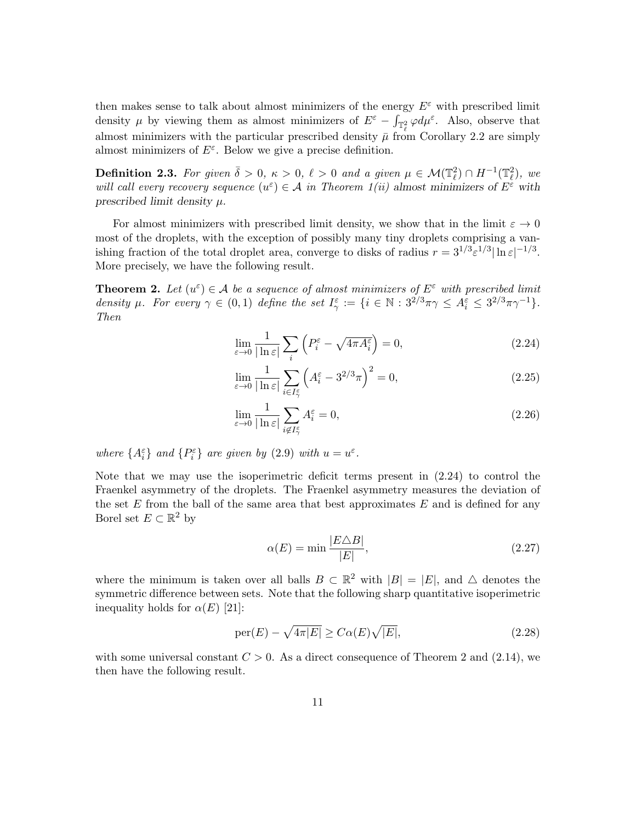then makes sense to talk about almost minimizers of the energy  $E^{\varepsilon}$  with prescribed limit density  $\mu$  by viewing them as almost minimizers of  $E^{\varepsilon} - \int_{\mathbb{T}_{\ell}^2} \varphi d\mu^{\varepsilon}$ . Also, observe that almost minimizers with the particular prescribed density  $\bar{\mu}$  from Corollary 2.2 are simply almost minimizers of  $E^{\varepsilon}$ . Below we give a precise definition.

**Definition 2.3.** For given  $\bar{\delta} > 0$ ,  $\kappa > 0$ ,  $\ell > 0$  and a given  $\mu \in \mathcal{M}(\mathbb{T}_{\ell}^2) \cap H^{-1}(\mathbb{T}_{\ell}^2)$ , we will call every recovery sequence  $(u^{\varepsilon}) \in A$  in Theorem 1(ii) almost minimizers of  $E^{\varepsilon}$  with prescribed limit density  $\mu$ .

For almost minimizers with prescribed limit density, we show that in the limit  $\varepsilon \to 0$ most of the droplets, with the exception of possibly many tiny droplets comprising a vanishing fraction of the total droplet area, converge to disks of radius  $r = 3^{1/3} \varepsilon^{1/3} |\ln \varepsilon|^{-1/3}$ . More precisely, we have the following result.

**Theorem 2.** Let  $(u^{\varepsilon}) \in \mathcal{A}$  be a sequence of almost minimizers of  $E^{\varepsilon}$  with prescribed limit density  $\mu$ . For every  $\gamma \in (0,1)$  define the set  $I_{\gamma}^{\varepsilon} := \{i \in \mathbb{N} : 3^{2/3}\pi\gamma \leq A_i^{\varepsilon} \leq 3^{2/3}\pi\gamma^{-1}\}.$ Then

$$
\lim_{\varepsilon \to 0} \frac{1}{|\ln \varepsilon|} \sum_{i} \left( P_i^{\varepsilon} - \sqrt{4\pi A_i^{\varepsilon}} \right) = 0,
$$
\n(2.24)

$$
\lim_{\varepsilon \to 0} \frac{1}{|\ln \varepsilon|} \sum_{i \in I_{\gamma}^{\varepsilon}} \left( A_i^{\varepsilon} - 3^{2/3} \pi \right)^2 = 0, \tag{2.25}
$$

$$
\lim_{\varepsilon \to 0} \frac{1}{|\ln \varepsilon|} \sum_{i \notin I_{\gamma}^{\varepsilon}} A_i^{\varepsilon} = 0,
$$
\n(2.26)

where  $\{A_i^{\varepsilon}\}\$ and  $\{P_i^{\varepsilon}\}\$ are given by  $(2.9)$  with  $u = u^{\varepsilon}$ .

Note that we may use the isoperimetric deficit terms present in (2.24) to control the Fraenkel asymmetry of the droplets. The Fraenkel asymmetry measures the deviation of the set  $E$  from the ball of the same area that best approximates  $E$  and is defined for any Borel set  $E \subset \mathbb{R}^2$  by

$$
\alpha(E) = \min \frac{|E \triangle B|}{|E|},\tag{2.27}
$$

where the minimum is taken over all balls  $B \subset \mathbb{R}^2$  with  $|B| = |E|$ , and  $\triangle$  denotes the symmetric difference between sets. Note that the following sharp quantitative isoperimetric inequality holds for  $\alpha(E)$  [21]:

$$
\operatorname{per}(E) - \sqrt{4\pi|E|} \ge C\alpha(E)\sqrt{|E|},\tag{2.28}
$$

with some universal constant  $C > 0$ . As a direct consequence of Theorem 2 and (2.14), we then have the following result.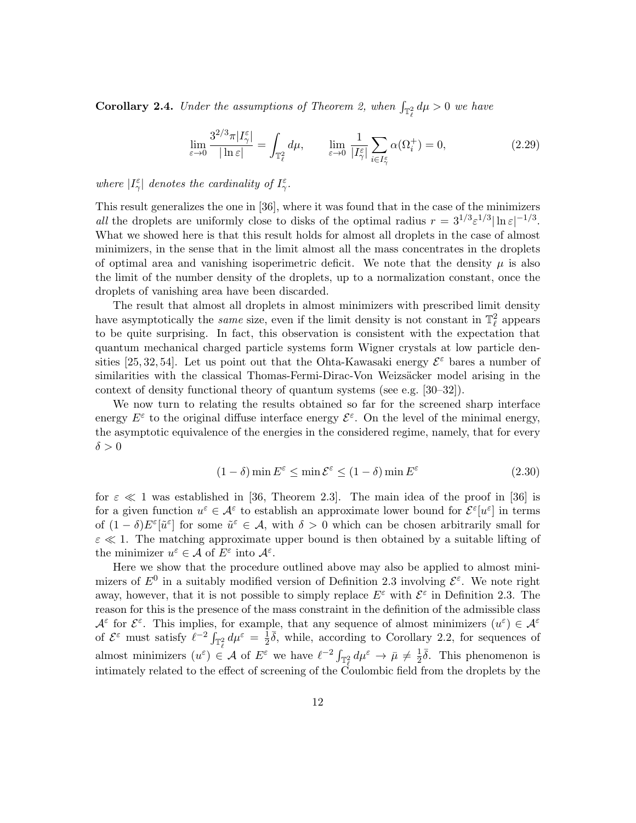**Corollary 2.4.** Under the assumptions of Theorem 2, when  $\int_{\mathbb{T}_\ell^2} d\mu > 0$  we have

$$
\lim_{\varepsilon \to 0} \frac{3^{2/3} \pi |I^{\varepsilon}_{\gamma}|}{|\ln \varepsilon|} = \int_{\mathbb{T}^2_{\ell}} d\mu, \qquad \lim_{\varepsilon \to 0} \frac{1}{|I^{\varepsilon}_{\gamma}|} \sum_{i \in I^{\varepsilon}_{\gamma}} \alpha(\Omega^+_i) = 0,
$$
\n(2.29)

where  $|I^{\varepsilon}_{\gamma}|$  denotes the cardinality of  $I^{\varepsilon}_{\gamma}$ .

This result generalizes the one in [36], where it was found that in the case of the minimizers all the droplets are uniformly close to disks of the optimal radius  $r = 3^{1/3} \varepsilon^{1/3} |\ln \varepsilon|^{-1/3}$ . What we showed here is that this result holds for almost all droplets in the case of almost minimizers, in the sense that in the limit almost all the mass concentrates in the droplets of optimal area and vanishing isoperimetric deficit. We note that the density  $\mu$  is also the limit of the number density of the droplets, up to a normalization constant, once the droplets of vanishing area have been discarded.

The result that almost all droplets in almost minimizers with prescribed limit density have asymptotically the *same* size, even if the limit density is not constant in  $\mathbb{T}^2_\ell$  appears to be quite surprising. In fact, this observation is consistent with the expectation that quantum mechanical charged particle systems form Wigner crystals at low particle densities [25, 32, 54]. Let us point out that the Ohta-Kawasaki energy  $\mathcal{E}^{\varepsilon}$  bares a number of similarities with the classical Thomas-Fermi-Dirac-Von Weizsäcker model arising in the context of density functional theory of quantum systems (see e.g. [30–32]).

We now turn to relating the results obtained so far for the screened sharp interface energy  $E^{\varepsilon}$  to the original diffuse interface energy  $\mathcal{E}^{\varepsilon}$ . On the level of the minimal energy, the asymptotic equivalence of the energies in the considered regime, namely, that for every  $\delta > 0$ 

$$
(1 - \delta) \min E^{\varepsilon} \le \min \mathcal{E}^{\varepsilon} \le (1 - \delta) \min E^{\varepsilon}
$$
\n(2.30)

for  $\varepsilon \ll 1$  was established in [36, Theorem 2.3]. The main idea of the proof in [36] is for a given function  $u^{\varepsilon} \in \mathcal{A}^{\varepsilon}$  to establish an approximate lower bound for  $\mathcal{E}^{\varepsilon}[u^{\varepsilon}]$  in terms of  $(1 - \delta)E^{\varepsilon}[\tilde{u}^{\varepsilon}]$  for some  $\tilde{u}^{\varepsilon} \in A$ , with  $\delta > 0$  which can be chosen arbitrarily small for  $\varepsilon \ll 1$ . The matching approximate upper bound is then obtained by a suitable lifting of the minimizer  $u^{\varepsilon} \in \mathcal{A}$  of  $E^{\varepsilon}$  into  $\mathcal{A}^{\varepsilon}$ .

Here we show that the procedure outlined above may also be applied to almost minimizers of  $E^0$  in a suitably modified version of Definition 2.3 involving  $\mathcal{E}^{\varepsilon}$ . We note right away, however, that it is not possible to simply replace  $E^{\varepsilon}$  with  $\mathcal{E}^{\varepsilon}$  in Definition 2.3. The reason for this is the presence of the mass constraint in the definition of the admissible class  $\mathcal{A}^{\varepsilon}$  for  $\mathcal{E}^{\varepsilon}$ . This implies, for example, that any sequence of almost minimizers  $(u^{\varepsilon}) \in \mathcal{A}^{\varepsilon}$ of  $\mathcal{E}^{\varepsilon}$  must satisfy  $\ell^{-2} \int_{\mathbb{T}_{\ell}^2} d\mu^{\varepsilon} = \frac{1}{2}$  $\frac{1}{2}\overline{\delta}$ , while, according to Corollary 2.2, for sequences of almost minimizers  $(u^{\varepsilon}) \in \mathcal{A}$  of  $E^{\varepsilon}$  we have  $\ell^{-2} \int_{\mathbb{T}^2_{\ell}} d\mu^{\varepsilon} \to \bar{\mu} \neq \frac{1}{2}$ intimately related to the effect of screening of the Coulombic field from the droplets by the  $\frac{1}{2}\overline{\delta}$ . This phenomenon is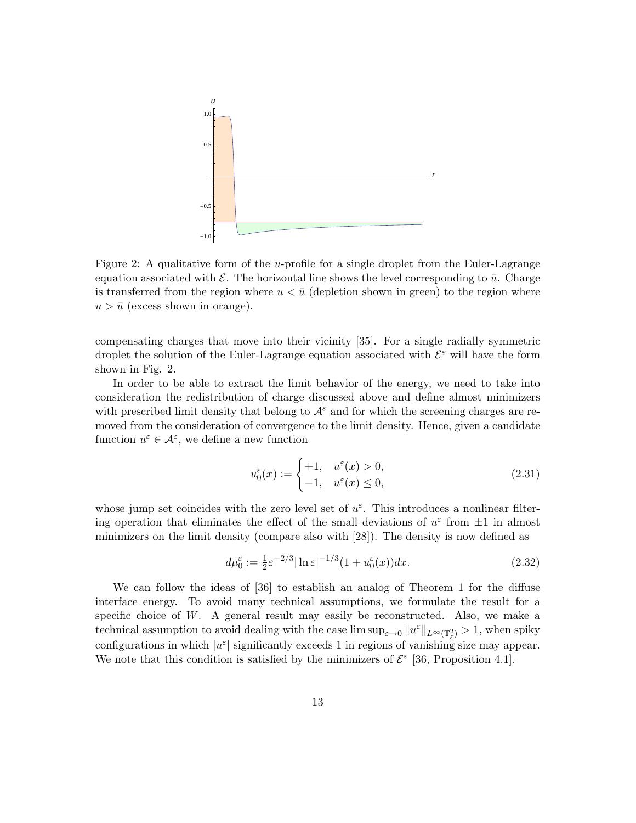

Figure 2: A qualitative form of the *u*-profile for a single droplet from the Euler-Lagrange equation associated with  $\mathcal E$ . The horizontal line shows the level corresponding to  $\bar u$ . Charge is transferred from the region where  $u < \bar{u}$  (depletion shown in green) to the region where  $u > \bar{u}$  (excess shown in orange).

compensating charges that move into their vicinity [35]. For a single radially symmetric droplet the solution of the Euler-Lagrange equation associated with  $\mathcal{E}^{\varepsilon}$  will have the form shown in Fig. 2.

In order to be able to extract the limit behavior of the energy, we need to take into consideration the redistribution of charge discussed above and define almost minimizers with prescribed limit density that belong to  $A^{\varepsilon}$  and for which the screening charges are removed from the consideration of convergence to the limit density. Hence, given a candidate function  $u^{\varepsilon} \in \mathcal{A}^{\varepsilon}$ , we define a new function

$$
u_0^{\varepsilon}(x) := \begin{cases} +1, & u^{\varepsilon}(x) > 0, \\ -1, & u^{\varepsilon}(x) \le 0, \end{cases}
$$
 (2.31)

whose jump set coincides with the zero level set of  $u^{\varepsilon}$ . This introduces a nonlinear filtering operation that eliminates the effect of the small deviations of  $u^{\varepsilon}$  from  $\pm 1$  in almost minimizers on the limit density (compare also with [28]). The density is now defined as

$$
d\mu_0^{\varepsilon} := \frac{1}{2}\varepsilon^{-2/3}|\ln \varepsilon|^{-1/3} (1 + u_0^{\varepsilon}(x))dx. \tag{2.32}
$$

We can follow the ideas of [36] to establish an analog of Theorem 1 for the diffuse interface energy. To avoid many technical assumptions, we formulate the result for a specific choice of W. A general result may easily be reconstructed. Also, we make a technical assumption to avoid dealing with the case  $\limsup_{\varepsilon\to 0}||u^\varepsilon||_{L^\infty(\mathbb{T}_\ell^2)} > 1$ , when spiky configurations in which  $|u^{\varepsilon}|$  significantly exceeds 1 in regions of vanishing size may appear. We note that this condition is satisfied by the minimizers of  $\mathcal{E}^{\varepsilon}$  [36, Proposition 4.1].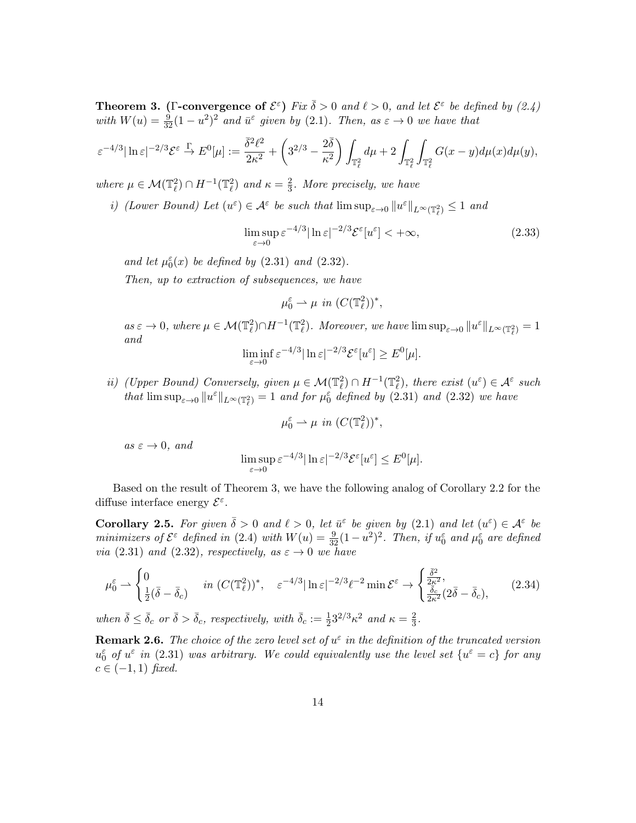**Theorem 3.** (Γ-convergence of  $\mathcal{E}^{\varepsilon}$ ) Fix  $\overline{\delta} > 0$  and  $\ell > 0$ , and let  $\mathcal{E}^{\varepsilon}$  be defined by (2.4) with  $W(u) = \frac{9}{32}(1 - u^2)^2$  and  $\bar{u}^{\varepsilon}$  given by (2.1). Then, as  $\varepsilon \to 0$  we have that

$$
\varepsilon^{-4/3}|\ln \varepsilon|^{-2/3}\mathcal{E}^\varepsilon\overset{\Gamma}{\to} E^0[\mu]:=\frac{\bar{\delta}^2\ell^2}{2\kappa^2}+\left(3^{2/3}-\frac{2\bar{\delta}}{\kappa^2}\right)\int_{\mathbb{T}_\ell^2}d\mu+2\int_{\mathbb{T}_\ell^2}\int_{\mathbb{T}_\ell^2}G(x-y)d\mu(x)d\mu(y),
$$

where  $\mu \in \mathcal{M}(\mathbb{T}_\ell^2) \cap H^{-1}(\mathbb{T}_\ell^2)$  and  $\kappa = \frac{2}{3}$  $\frac{2}{3}$ . More precisely, we have

*i*) (Lower Bound) Let  $(u^{\varepsilon}) \in \mathcal{A}^{\varepsilon}$  be such that  $\limsup_{\varepsilon \to 0} ||u^{\varepsilon}||_{L^{\infty}(\mathbb{T}^2_{\ell})} \leq 1$  and

$$
\limsup_{\varepsilon \to 0} \varepsilon^{-4/3} |\ln \varepsilon|^{-2/3} \mathcal{E}^{\varepsilon}[u^{\varepsilon}] < +\infty,
$$
\n(2.33)

and let  $\mu_0^{\varepsilon}(x)$  be defined by (2.31) and (2.32).

Then, up to extraction of subsequences, we have

$$
\mu_0^{\varepsilon} \rightharpoonup \mu \, \, in \, \, (C(\mathbb{T}_\ell^2))^*,
$$

 $as \varepsilon \to 0$ , where  $\mu \in \mathcal{M}(\mathbb{T}_{\ell}^2) \cap H^{-1}(\mathbb{T}_{\ell}^2)$ . Moreover, we have  $\limsup_{\varepsilon \to 0} ||u^{\varepsilon}||_{L^{\infty}(\mathbb{T}_{\ell}^2)} = 1$ and

$$
\liminf_{\varepsilon \to 0} \varepsilon^{-4/3} |\ln \varepsilon|^{-2/3} \mathcal{E}^{\varepsilon}[u^{\varepsilon}] \ge E^{0}[\mu].
$$

ii) (Upper Bound) Conversely, given  $\mu \in \mathcal{M}(\mathbb{T}_\ell^2) \cap H^{-1}(\mathbb{T}_\ell^2)$ , there exist  $(u^\varepsilon) \in \mathcal{A}^\varepsilon$  such that  $\limsup_{\varepsilon\to 0}||u^{\varepsilon}||_{L^{\infty}(\mathbb{T}_\ell^2)}=1$  and for  $\mu_0^{\varepsilon}$  defined by (2.31) and (2.32) we have

$$
\mu_0^{\varepsilon} \rightharpoonup \mu \quad in \quad (C(\mathbb{T}_{\ell}^2))^*,
$$

 $as \varepsilon \to 0$ , and

$$
\limsup_{\varepsilon \to 0} \varepsilon^{-4/3} |\ln \varepsilon|^{-2/3} \mathcal{E}^{\varepsilon}[u^{\varepsilon}] \leq E^{0}[\mu].
$$

Based on the result of Theorem 3, we have the following analog of Corollary 2.2 for the diffuse interface energy  $\mathcal{E}^{\varepsilon}$ .

**Corollary 2.5.** For given  $\bar{\delta} > 0$  and  $\ell > 0$ , let  $\bar{u}^{\varepsilon}$  be given by (2.1) and let  $(u^{\varepsilon}) \in \mathcal{A}^{\varepsilon}$  be minimizers of  $\mathcal{E}^{\varepsilon}$  defined in (2.4) with  $W(u) = \frac{9}{32}(1 - u^2)^2$ . Then, if  $u_0^{\varepsilon}$  and  $\mu_0^{\varepsilon}$  are defined via (2.31) and (2.32), respectively, as  $\varepsilon \to 0$  we have

$$
\mu_0^{\varepsilon} \rightharpoonup \begin{cases} 0 & \text{in } (C(\mathbb{T}_{\ell}^2))^*, \quad \varepsilon^{-4/3} |\ln \varepsilon|^{-2/3} \ell^{-2} \min \mathcal{E}^{\varepsilon} \to \begin{cases} \frac{\bar{\delta}^2}{2\kappa^2}, \\ \frac{\bar{\delta}_c}{2\kappa^2} (2\bar{\delta} - \bar{\delta}_c), \end{cases} \tag{2.34}
$$

when  $\bar{\delta} \leq \bar{\delta}_c$  or  $\bar{\delta} > \bar{\delta}_c$ , respectively, with  $\bar{\delta}_c := \frac{1}{2}3^{2/3} \kappa^2$  and  $\kappa = \frac{2}{3}$  $\frac{2}{3}$ .

**Remark 2.6.** The choice of the zero level set of  $u^{\varepsilon}$  in the definition of the truncated version  $u_0^{\varepsilon}$  of  $u^{\varepsilon}$  in (2.31) was arbitrary. We could equivalently use the level set  $\{u^{\varepsilon} = c\}$  for any  $c \in (-1, 1)$  fixed.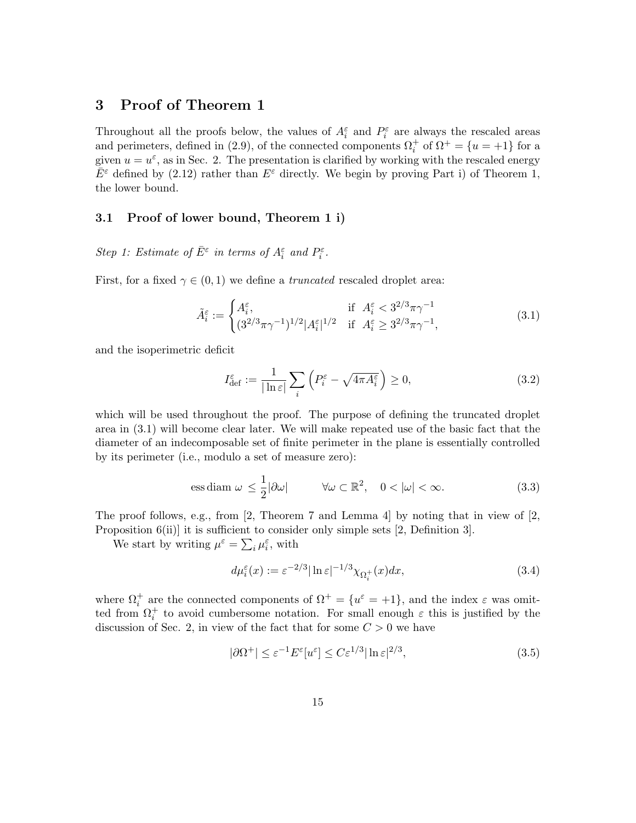# 3 Proof of Theorem 1

Throughout all the proofs below, the values of  $A_i^{\varepsilon}$  and  $P_i^{\varepsilon}$  are always the rescaled areas and perimeters, defined in (2.9), of the connected components  $\Omega_i^+$  of  $\Omega^+ = \{u = +1\}$  for a given  $u = u^{\varepsilon}$ , as in Sec. 2. The presentation is clarified by working with the rescaled energy  $\bar{E}^{\varepsilon}$  defined by (2.12) rather than  $E^{\varepsilon}$  directly. We begin by proving Part i) of Theorem 1, the lower bound.

## 3.1 Proof of lower bound, Theorem 1 i)

Step 1: Estimate of  $\bar{E}^{\varepsilon}$  in terms of  $A_i^{\varepsilon}$  and  $P_i^{\varepsilon}$ .

First, for a fixed  $\gamma \in (0,1)$  we define a *truncated* rescaled droplet area:

$$
\tilde{A}_{i}^{\varepsilon} := \begin{cases}\nA_{i}^{\varepsilon}, & \text{if } A_{i}^{\varepsilon} < 3^{2/3}\pi\gamma^{-1} \\
(3^{2/3}\pi\gamma^{-1})^{1/2}|A_{i}^{\varepsilon}|^{1/2} & \text{if } A_{i}^{\varepsilon} \ge 3^{2/3}\pi\gamma^{-1},\n\end{cases} \tag{3.1}
$$

and the isoperimetric deficit

$$
I_{\text{def}}^{\varepsilon} := \frac{1}{|\ln \varepsilon|} \sum_{i} \left( P_i^{\varepsilon} - \sqrt{4\pi A_i^{\varepsilon}} \right) \ge 0,
$$
\n(3.2)

which will be used throughout the proof. The purpose of defining the truncated droplet area in (3.1) will become clear later. We will make repeated use of the basic fact that the diameter of an indecomposable set of finite perimeter in the plane is essentially controlled by its perimeter (i.e., modulo a set of measure zero):

$$
\text{ess diam } \omega \le \frac{1}{2} |\partial \omega| \qquad \forall \omega \subset \mathbb{R}^2, \quad 0 < |\omega| < \infty. \tag{3.3}
$$

The proof follows, e.g., from  $[2,$  Theorem 7 and Lemma 4 by noting that in view of  $[2,$ Proposition 6(ii)] it is sufficient to consider only simple sets [2, Definition 3].

We start by writing  $\mu^{\varepsilon} = \sum_{i} \mu_i^{\varepsilon}$ , with

$$
d\mu_i^{\varepsilon}(x) := \varepsilon^{-2/3} |\ln \varepsilon|^{-1/3} \chi_{\Omega_i^+}(x) dx,\tag{3.4}
$$

where  $\Omega_i^+$  are the connected components of  $\Omega^+ = \{u^{\varepsilon} = +1\}$ , and the index  $\varepsilon$  was omitted from  $\Omega_i^+$  to avoid cumbersome notation. For small enough  $\varepsilon$  this is justified by the discussion of Sec. 2, in view of the fact that for some  $C > 0$  we have

$$
|\partial \Omega^+| \le \varepsilon^{-1} E^{\varepsilon}[u^{\varepsilon}] \le C \varepsilon^{1/3} |\ln \varepsilon|^{2/3},\tag{3.5}
$$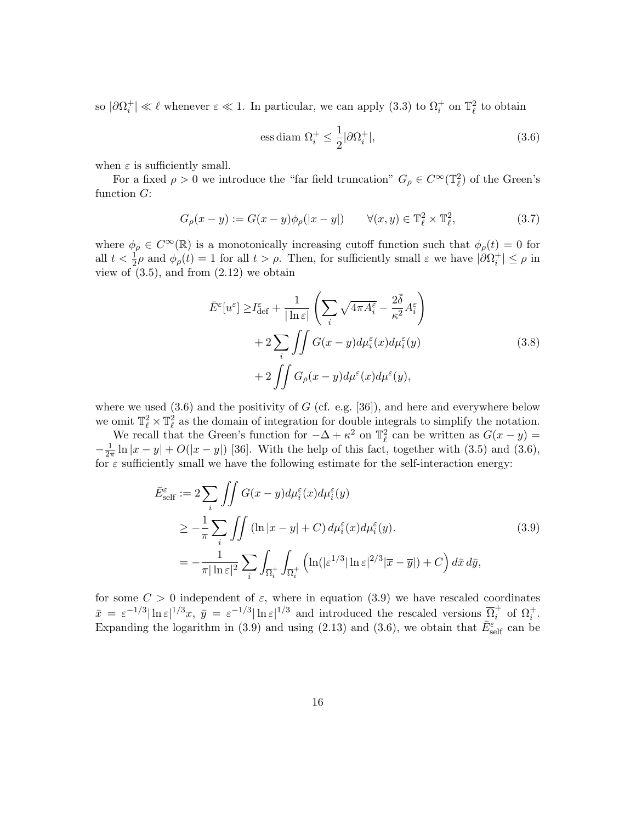so  $|\partial\Omega_i^+| \ll \ell$  whenever  $\varepsilon \ll 1$ . In particular, we can apply (3.3) to  $\Omega_i^+$  on  $\mathbb{T}_\ell^2$  to obtain

$$
\text{ess diam }\Omega_i^+ \le \frac{1}{2} |\partial \Omega_i^+|,\tag{3.6}
$$

when  $\varepsilon$  is sufficiently small.

For a fixed  $\rho > 0$  we introduce the "far field truncation"  $G_{\rho} \in C^{\infty}(\mathbb{T}_{\ell}^2)$  of the Green's function G:

$$
G_{\rho}(x-y) := G(x-y)\phi_{\rho}(|x-y|) \qquad \forall (x,y) \in \mathbb{T}_{\ell}^2 \times \mathbb{T}_{\ell}^2,\tag{3.7}
$$

where  $\phi_{\rho} \in C^{\infty}(\mathbb{R})$  is a monotonically increasing cutoff function such that  $\phi_{\rho}(t) = 0$  for all  $t < \frac{1}{2}\rho$  and  $\phi_{\rho}(t) = 1$  for all  $t > \rho$ . Then, for sufficiently small  $\varepsilon$  we have  $|\partial \Omega_i^+| \le \rho$  in view of  $(3.5)$ , and from  $(2.12)$  we obtain

$$
\bar{E}^{\varepsilon}[u^{\varepsilon}] \ge I_{\text{def}}^{\varepsilon} + \frac{1}{|\ln \varepsilon|} \left( \sum_{i} \sqrt{4\pi A^{\varepsilon}_{i}} - \frac{2\bar{\delta}}{\kappa^{2}} A^{\varepsilon}_{i} \right) \n+ 2 \sum_{i} \iint G(x - y) d\mu_{i}^{\varepsilon}(x) d\mu_{i}^{\varepsilon}(y) \n+ 2 \iint G_{\rho}(x - y) d\mu^{\varepsilon}(x) d\mu^{\varepsilon}(y),
$$
\n(3.8)

where we used  $(3.6)$  and the positivity of G (cf. e.g. [36]), and here and everywhere below we omit  $\mathbb{T}^2_\ell \times \mathbb{T}^2_\ell$  as the domain of integration for double integrals to simplify the notation.

We recall that the Green's function for  $-\Delta + \kappa^2$  on  $\mathbb{T}_\ell^2$  can be written as  $G(x - y) =$  $-\frac{1}{2i}$  $\frac{1}{2\pi} \ln|x-y| + O(|x-y|)$  [36]. With the help of this fact, together with (3.5) and (3.6), for  $\varepsilon$  sufficiently small we have the following estimate for the self-interaction energy:

$$
\bar{E}_{\text{self}}^{\varepsilon} := 2 \sum_{i} \iint G(x - y) d\mu_{i}^{\varepsilon}(x) d\mu_{i}^{\varepsilon}(y) \n\geq -\frac{1}{\pi} \sum_{i} \iint (\ln |x - y| + C) d\mu_{i}^{\varepsilon}(x) d\mu_{i}^{\varepsilon}(y).
$$
\n(3.9)\n
$$
= -\frac{1}{\pi |\ln \varepsilon|^{2}} \sum_{i} \int_{\overline{\Omega}_{i}^{+}} \int_{\overline{\Omega}_{i}^{+}} \left( \ln(|\varepsilon^{1/3}| \ln \varepsilon|^{2/3} | \overline{x} - \overline{y}|) + C \right) d\overline{x} d\overline{y},
$$

for some  $C > 0$  independent of  $\varepsilon$ , where in equation (3.9) we have rescaled coordinates  $\bar{x} = \varepsilon^{-1/3} |\ln \varepsilon|^{1/3} x$ ,  $\bar{y} = \varepsilon^{-1/3} |\ln \varepsilon|^{1/3}$  and introduced the rescaled versions  $\overline{\Omega}_i^+$  of  $\Omega_i^+$ . Expanding the logarithm in (3.9) and using (2.13) and (3.6), we obtain that  $\bar{E}^{\varepsilon}_{\text{self}}$  can be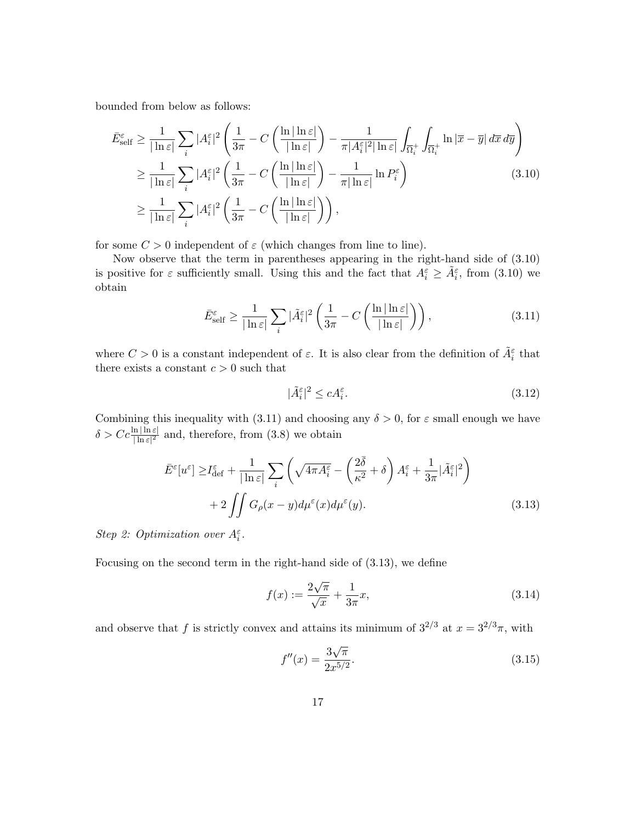bounded from below as follows:

$$
\begin{split} \bar{E}^{\varepsilon}_{\text{self}} &\geq \frac{1}{|\ln \varepsilon|} \sum_{i} |A^{\varepsilon}_{i}|^{2} \left( \frac{1}{3\pi} - C \left( \frac{\ln|\ln \varepsilon|}{|\ln \varepsilon|} \right) - \frac{1}{\pi |A^{\varepsilon}_{i}|^{2} |\ln \varepsilon|} \int_{\overline{\Omega}^{+}_{i}} \int_{\overline{\Omega}^{+}_{i}} \ln |\overline{x} - \overline{y}| \, d\overline{x} \, d\overline{y} \right) \\ &\geq \frac{1}{|\ln \varepsilon|} \sum_{i} |A^{\varepsilon}_{i}|^{2} \left( \frac{1}{3\pi} - C \left( \frac{\ln|\ln \varepsilon|}{|\ln \varepsilon|} \right) - \frac{1}{\pi |\ln \varepsilon|} \ln P^{\varepsilon}_{i} \right) \\ &\geq \frac{1}{|\ln \varepsilon|} \sum_{i} |A^{\varepsilon}_{i}|^{2} \left( \frac{1}{3\pi} - C \left( \frac{\ln|\ln \varepsilon|}{|\ln \varepsilon|} \right) \right), \end{split} \tag{3.10}
$$

for some  $C > 0$  independent of  $\varepsilon$  (which changes from line to line).

Now observe that the term in parentheses appearing in the right-hand side of (3.10) is positive for  $\varepsilon$  sufficiently small. Using this and the fact that  $A_i^{\varepsilon} \ge \tilde{A}_i^{\varepsilon}$ , from (3.10) we obtain

$$
\bar{E}^{\varepsilon}_{\text{self}} \ge \frac{1}{|\ln \varepsilon|} \sum_{i} |\tilde{A}^{\varepsilon}_{i}|^{2} \left( \frac{1}{3\pi} - C \left( \frac{\ln |\ln \varepsilon|}{|\ln \varepsilon|} \right) \right),\tag{3.11}
$$

where  $C > 0$  is a constant independent of  $\varepsilon$ . It is also clear from the definition of  $\tilde{A}_{i}^{\varepsilon}$  that there exists a constant  $c > 0$  such that

$$
|\tilde{A}_i^{\varepsilon}|^2 \le c A_i^{\varepsilon}.\tag{3.12}
$$

Combining this inequality with (3.11) and choosing any  $\delta > 0$ , for  $\varepsilon$  small enough we have  $\delta > C c \frac{\ln |\ln \varepsilon|}{|\ln \varepsilon|^2}$  and, therefore, from (3.8) we obtain

$$
\bar{E}^{\varepsilon}[u^{\varepsilon}] \ge I_{\text{def}}^{\varepsilon} + \frac{1}{|\ln \varepsilon|} \sum_{i} \left( \sqrt{4\pi A^{\varepsilon}_{i}} - \left( \frac{2\bar{\delta}}{\kappa^{2}} + \delta \right) A^{\varepsilon}_{i} + \frac{1}{3\pi} |\tilde{A}^{\varepsilon}_{i}|^{2} \right) + 2 \iint G_{\rho}(x - y) d\mu^{\varepsilon}(x) d\mu^{\varepsilon}(y).
$$
\n(3.13)

Step 2: Optimization over  $A_i^{\varepsilon}$ .

Focusing on the second term in the right-hand side of (3.13), we define

$$
f(x) := \frac{2\sqrt{\pi}}{\sqrt{x}} + \frac{1}{3\pi}x,
$$
\n(3.14)

and observe that f is strictly convex and attains its minimum of  $3^{2/3}$  at  $x = 3^{2/3}\pi$ , with

$$
f''(x) = \frac{3\sqrt{\pi}}{2x^{5/2}}.\tag{3.15}
$$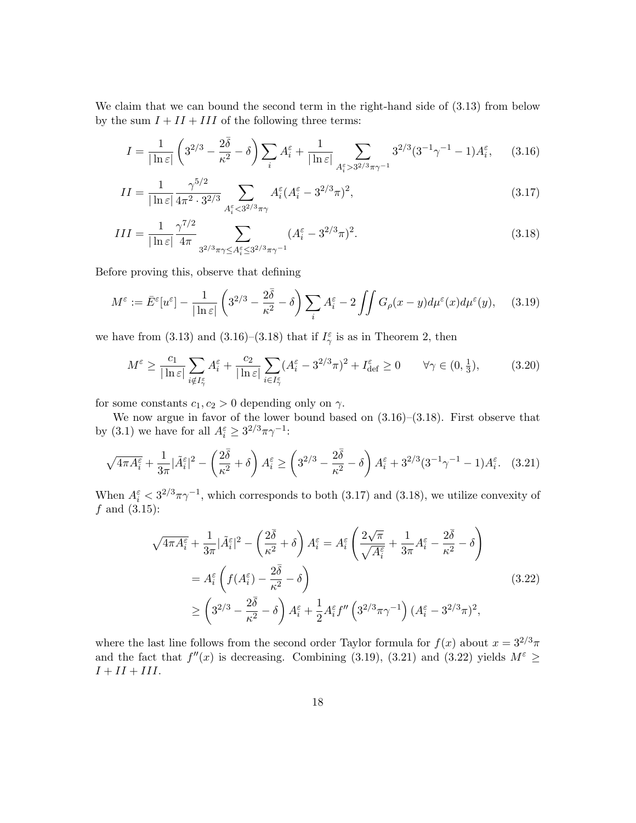We claim that we can bound the second term in the right-hand side of  $(3.13)$  from below by the sum  $I + II + III$  of the following three terms:

$$
I = \frac{1}{|\ln \varepsilon|} \left( 3^{2/3} - \frac{2\bar{\delta}}{\kappa^2} - \delta \right) \sum_{i} A_i^{\varepsilon} + \frac{1}{|\ln \varepsilon|} \sum_{A_i^{\varepsilon} > 3^{2/3} \pi \gamma^{-1}} 3^{2/3} (3^{-1} \gamma^{-1} - 1) A_i^{\varepsilon}, \quad (3.16)
$$

$$
II = \frac{1}{|\ln \varepsilon|} \frac{\gamma^{5/2}}{4\pi^2 \cdot 3^{2/3}} \sum_{A_i^{\varepsilon} < 3^{2/3}\pi\gamma} A_i^{\varepsilon} (A_i^{\varepsilon} - 3^{2/3}\pi)^2,\tag{3.17}
$$

$$
III = \frac{1}{|\ln \varepsilon|} \frac{\gamma^{7/2}}{4\pi} \sum_{3^{2/3}\pi\gamma \le A_i^{\varepsilon} \le 3^{2/3}\pi\gamma^{-1}} (A_i^{\varepsilon} - 3^{2/3}\pi)^2.
$$
 (3.18)

Before proving this, observe that defining

$$
M^{\varepsilon} := \bar{E}^{\varepsilon}[u^{\varepsilon}] - \frac{1}{|\ln \varepsilon|} \left( 3^{2/3} - \frac{2\bar{\delta}}{\kappa^2} - \delta \right) \sum_{i} A^{\varepsilon}_i - 2 \iint G_{\rho}(x - y) d\mu^{\varepsilon}(x) d\mu^{\varepsilon}(y), \quad (3.19)
$$

we have from (3.13) and (3.16)–(3.18) that if  $I_{\gamma}^{\varepsilon}$  is as in Theorem 2, then

$$
M^{\varepsilon} \ge \frac{c_1}{|\ln \varepsilon|} \sum_{i \notin I_{\gamma}^{\varepsilon}} A_i^{\varepsilon} + \frac{c_2}{|\ln \varepsilon|} \sum_{i \in I_{\gamma}^{\varepsilon}} (A_i^{\varepsilon} - 3^{2/3} \pi)^2 + I_{\text{def}}^{\varepsilon} \ge 0 \qquad \forall \gamma \in (0, \frac{1}{3}), \tag{3.20}
$$

for some constants  $c_1, c_2 > 0$  depending only on  $\gamma$ .

We now argue in favor of the lower bound based on (3.16)–(3.18). First observe that by (3.1) we have for all  $A_i^{\varepsilon} \geq 3^{2/3} \pi \gamma^{-1}$ :

$$
\sqrt{4\pi A_i^{\varepsilon}} + \frac{1}{3\pi} |\tilde{A}_i^{\varepsilon}|^2 - \left(\frac{2\bar{\delta}}{\kappa^2} + \delta\right) A_i^{\varepsilon} \ge \left(3^{2/3} - \frac{2\bar{\delta}}{\kappa^2} - \delta\right) A_i^{\varepsilon} + 3^{2/3} (3^{-1}\gamma^{-1} - 1) A_i^{\varepsilon}.\tag{3.21}
$$

When  $A_i^{\varepsilon} < 3^{2/3}\pi\gamma^{-1}$ , which corresponds to both (3.17) and (3.18), we utilize convexity of  $f$  and  $(3.15)$ :

$$
\sqrt{4\pi A_i^{\varepsilon}} + \frac{1}{3\pi} |\tilde{A}_i^{\varepsilon}|^2 - \left(\frac{2\bar{\delta}}{\kappa^2} + \delta\right) A_i^{\varepsilon} = A_i^{\varepsilon} \left(\frac{2\sqrt{\pi}}{\sqrt{A_i^{\varepsilon}}} + \frac{1}{3\pi} A_i^{\varepsilon} - \frac{2\bar{\delta}}{\kappa^2} - \delta\right)
$$
  
\n
$$
= A_i^{\varepsilon} \left(f(A_i^{\varepsilon}) - \frac{2\bar{\delta}}{\kappa^2} - \delta\right)
$$
  
\n
$$
\ge \left(3^{2/3} - \frac{2\bar{\delta}}{\kappa^2} - \delta\right) A_i^{\varepsilon} + \frac{1}{2} A_i^{\varepsilon} f'' \left(3^{2/3} \pi \gamma^{-1}\right) (A_i^{\varepsilon} - 3^{2/3} \pi)^2,
$$
\n(3.22)

where the last line follows from the second order Taylor formula for  $f(x)$  about  $x = 3^{2/3}\pi$ and the fact that  $f''(x)$  is decreasing. Combining (3.19), (3.21) and (3.22) yields  $M^{\varepsilon} \geq$  $I + II + III.$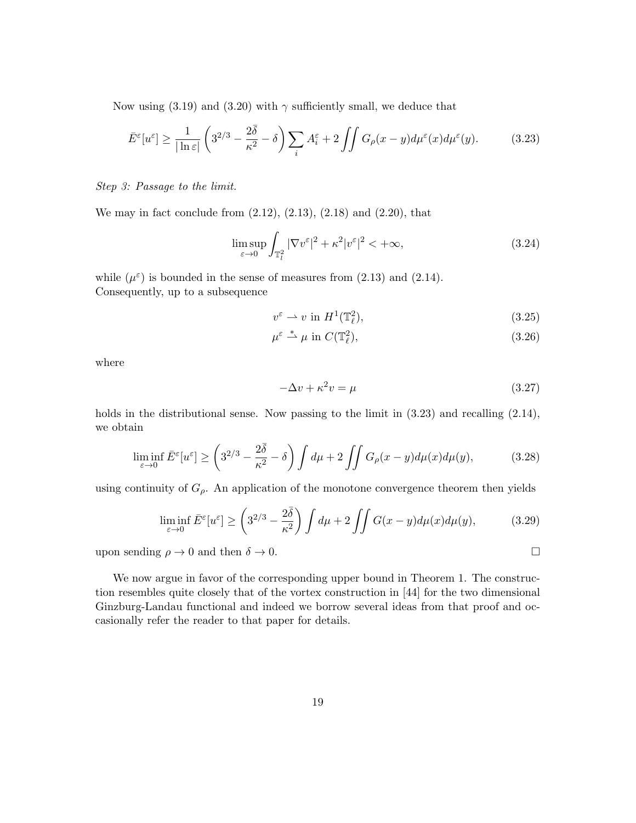Now using (3.19) and (3.20) with  $\gamma$  sufficiently small, we deduce that

$$
\bar{E}^{\varepsilon}[u^{\varepsilon}] \ge \frac{1}{|\ln \varepsilon|} \left(3^{2/3} - \frac{2\bar{\delta}}{\kappa^2} - \delta\right) \sum_{i} A^{\varepsilon}_i + 2 \iint G_{\rho}(x - y) d\mu^{\varepsilon}(x) d\mu^{\varepsilon}(y). \tag{3.23}
$$

Step 3: Passage to the limit.

We may in fact conclude from  $(2.12)$ ,  $(2.13)$ ,  $(2.18)$  and  $(2.20)$ , that

$$
\limsup_{\varepsilon \to 0} \int_{\mathbb{T}_l^2} |\nabla v^{\varepsilon}|^2 + \kappa^2 |v^{\varepsilon}|^2 < +\infty,
$$
\n(3.24)

while  $(\mu^{\varepsilon})$  is bounded in the sense of measures from (2.13) and (2.14). Consequently, up to a subsequence

$$
v^{\varepsilon} \rightharpoonup v \text{ in } H^{1}(\mathbb{T}_{\ell}^{2}),\tag{3.25}
$$

$$
\mu^{\varepsilon} \stackrel{*}{\rightharpoonup} \mu \text{ in } C(\mathbb{T}_{\ell}^2),\tag{3.26}
$$

where

$$
-\Delta v + \kappa^2 v = \mu \tag{3.27}
$$

holds in the distributional sense. Now passing to the limit in  $(3.23)$  and recalling  $(2.14)$ , we obtain

$$
\liminf_{\varepsilon \to 0} \bar{E}^{\varepsilon}[u^{\varepsilon}] \ge \left(3^{2/3} - \frac{2\bar{\delta}}{\kappa^2} - \delta\right) \int d\mu + 2 \iint G_{\rho}(x - y) d\mu(x) d\mu(y),\tag{3.28}
$$

using continuity of  $G_{\rho}$ . An application of the monotone convergence theorem then yields

$$
\liminf_{\varepsilon \to 0} \bar{E}^{\varepsilon}[u^{\varepsilon}] \ge \left(3^{2/3} - \frac{2\bar{\delta}}{\kappa^2}\right) \int d\mu + 2 \iint G(x - y) d\mu(x) d\mu(y),\tag{3.29}
$$

upon sending  $\rho \to 0$  and then  $\delta \to 0$ .

We now argue in favor of the corresponding upper bound in Theorem 1. The construction resembles quite closely that of the vortex construction in [44] for the two dimensional Ginzburg-Landau functional and indeed we borrow several ideas from that proof and occasionally refer the reader to that paper for details.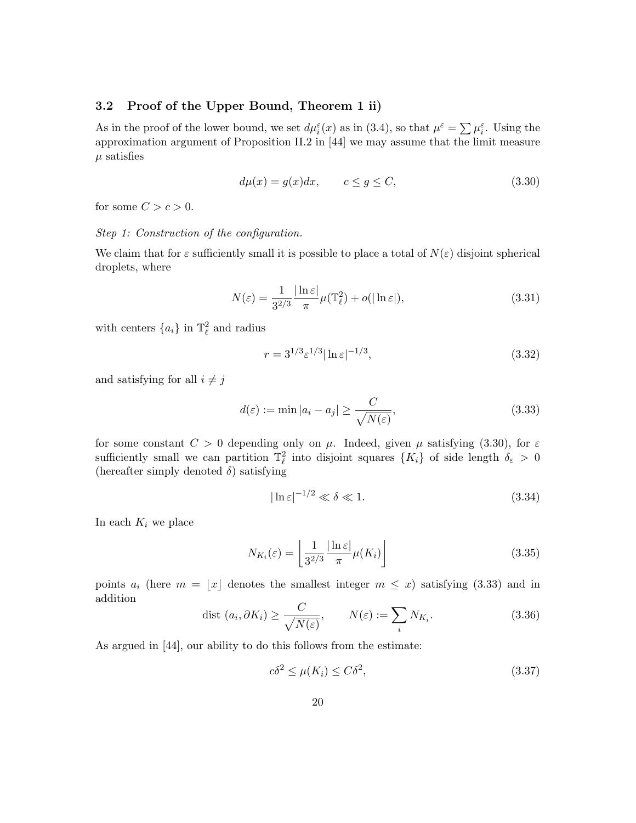### 3.2 Proof of the Upper Bound, Theorem 1 ii)

As in the proof of the lower bound, we set  $d\mu_i^{\varepsilon}(x)$  as in (3.4), so that  $\mu^{\varepsilon} = \sum \mu_i^{\varepsilon}$ . Using the approximation argument of Proposition II.2 in [44] we may assume that the limit measure  $\mu$  satisfies

$$
d\mu(x) = g(x)dx, \qquad c \le g \le C,\tag{3.30}
$$

for some  $C > c > 0$ .

#### Step 1: Construction of the configuration.

We claim that for  $\varepsilon$  sufficiently small it is possible to place a total of  $N(\varepsilon)$  disjoint spherical droplets, where

$$
N(\varepsilon) = \frac{1}{3^{2/3}} \frac{|\ln \varepsilon|}{\pi} \mu(\mathbb{T}_{\ell}^2) + o(|\ln \varepsilon|), \tag{3.31}
$$

with centers  $\{a_i\}$  in  $\mathbb{T}_\ell^2$  and radius

$$
r = 3^{1/3} \varepsilon^{1/3} |\ln \varepsilon|^{-1/3},\tag{3.32}
$$

and satisfying for all  $i \neq j$ 

$$
d(\varepsilon) := \min |a_i - a_j| \ge \frac{C}{\sqrt{N(\varepsilon)}},\tag{3.33}
$$

for some constant  $C > 0$  depending only on  $\mu$ . Indeed, given  $\mu$  satisfying (3.30), for  $\varepsilon$ sufficiently small we can partition  $\mathbb{T}^2_\ell$  into disjoint squares  $\{K_i\}$  of side length  $\delta_{\varepsilon} > 0$ (hereafter simply denoted  $\delta$ ) satisfying

$$
|\ln \varepsilon|^{-1/2} \ll \delta \ll 1. \tag{3.34}
$$

In each  $K_i$  we place

$$
N_{K_i}(\varepsilon) = \left\lfloor \frac{1}{3^{2/3}} \frac{|\ln \varepsilon|}{\pi} \mu(K_i) \right\rfloor \tag{3.35}
$$

points  $a_i$  (here  $m = \lfloor x \rfloor$  denotes the smallest integer  $m \leq x$ ) satisfying (3.33) and in addition

$$
\text{dist}\,(a_i,\partial K_i) \ge \frac{C}{\sqrt{N(\varepsilon)}}, \qquad N(\varepsilon) := \sum_i N_{K_i}.\tag{3.36}
$$

As argued in [44], our ability to do this follows from the estimate:

$$
c\delta^2 \le \mu(K_i) \le C\delta^2,\tag{3.37}
$$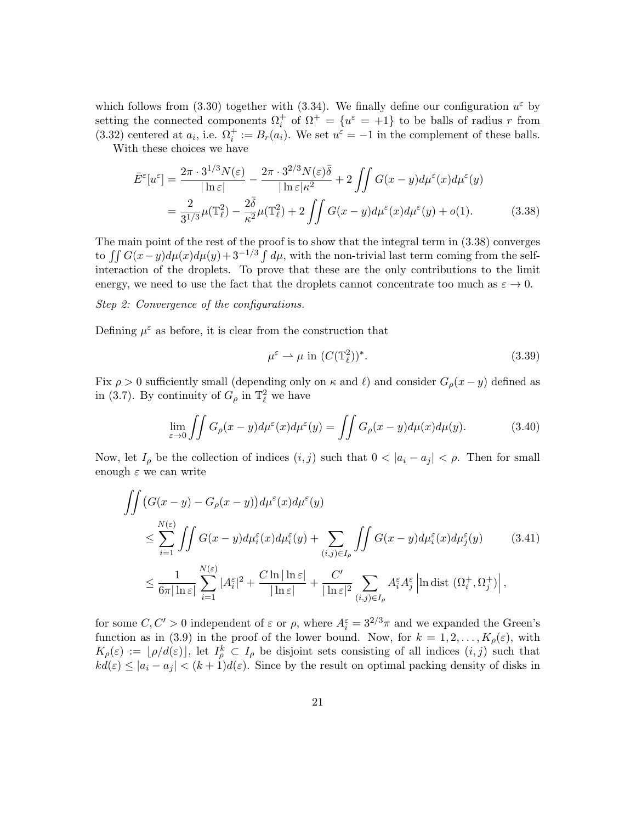which follows from (3.30) together with (3.34). We finally define our configuration  $u^{\varepsilon}$  by setting the connected components  $\Omega_i^+$  of  $\Omega^+ = \{u^{\varepsilon} = +1\}$  to be balls of radius r from (3.32) centered at  $a_i$ , i.e.  $\Omega_i^+ := B_r(a_i)$ . We set  $u^{\varepsilon} = -1$  in the complement of these balls.

With these choices we have

$$
\bar{E}^{\varepsilon}[u^{\varepsilon}] = \frac{2\pi \cdot 3^{1/3} N(\varepsilon)}{|\ln \varepsilon|} - \frac{2\pi \cdot 3^{2/3} N(\varepsilon) \bar{\delta}}{|\ln \varepsilon| \kappa^2} + 2 \iint G(x - y) d\mu^{\varepsilon}(x) d\mu^{\varepsilon}(y)
$$

$$
= \frac{2}{3^{1/3}} \mu(\mathbb{T}_{\ell}^2) - \frac{2\bar{\delta}}{\kappa^2} \mu(\mathbb{T}_{\ell}^2) + 2 \iint G(x - y) d\mu^{\varepsilon}(x) d\mu^{\varepsilon}(y) + o(1).
$$
(3.38)

The main point of the rest of the proof is to show that the integral term in (3.38) converges to  $\iint G(x-y)d\mu(x)d\mu(y)+3^{-1/3}\int d\mu$ , with the non-trivial last term coming from the selfinteraction of the droplets. To prove that these are the only contributions to the limit energy, we need to use the fact that the droplets cannot concentrate too much as  $\varepsilon \to 0$ .

#### Step 2: Convergence of the configurations.

Defining  $\mu^{\varepsilon}$  as before, it is clear from the construction that

$$
\mu^{\varepsilon} \rightharpoonup \mu \text{ in } (C(\mathbb{T}_{\ell}^2))^*.
$$
\n(3.39)

Fix  $\rho > 0$  sufficiently small (depending only on  $\kappa$  and  $\ell$ ) and consider  $G_{\rho}(x - y)$  defined as in (3.7). By continuity of  $G_{\rho}$  in  $\mathbb{T}^2_{\ell}$  we have

$$
\lim_{\varepsilon \to 0} \iint G_{\rho}(x - y) d\mu^{\varepsilon}(x) d\mu^{\varepsilon}(y) = \iint G_{\rho}(x - y) d\mu(x) d\mu(y).
$$
 (3.40)

Now, let  $I_\rho$  be the collection of indices  $(i, j)$  such that  $0 < |a_i - a_j| < \rho$ . Then for small enough  $\varepsilon$  we can write

$$
\iint \left( G(x - y) - G_{\rho}(x - y) \right) d\mu^{\varepsilon}(x) d\mu^{\varepsilon}(y)
$$
\n
$$
\leq \sum_{i=1}^{N(\varepsilon)} \iint G(x - y) d\mu_i^{\varepsilon}(x) d\mu_i^{\varepsilon}(y) + \sum_{(i,j) \in I_{\rho}} \iint G(x - y) d\mu_i^{\varepsilon}(x) d\mu_j^{\varepsilon}(y) \qquad (3.41)
$$
\n
$$
\leq \frac{1}{6\pi |\ln \varepsilon|} \sum_{i=1}^{N(\varepsilon)} |A_i^{\varepsilon}|^2 + \frac{C \ln |\ln \varepsilon|}{|\ln \varepsilon|} + \frac{C'}{|\ln \varepsilon|^2} \sum_{(i,j) \in I_{\rho}} A_i^{\varepsilon} A_j^{\varepsilon} \left| \ln \operatorname{dist} \left( \Omega_i^+, \Omega_j^+ \right) \right|,
$$

for some  $C, C' > 0$  independent of  $\varepsilon$  or  $\rho$ , where  $A_i^{\varepsilon} = 3^{2/3}\pi$  and we expanded the Green's function as in (3.9) in the proof of the lower bound. Now, for  $k = 1, 2, ..., K_{\rho}(\varepsilon)$ , with  $K_{\rho}(\varepsilon) := \lfloor \rho/d(\varepsilon) \rfloor$ , let  $I_{\rho}^{k} \subset I_{\rho}$  be disjoint sets consisting of all indices  $(i, j)$  such that  $k\tilde{d}(\varepsilon) \leq |a_i - a_j| < (k+1)d(\varepsilon)$ . Since by the result on optimal packing density of disks in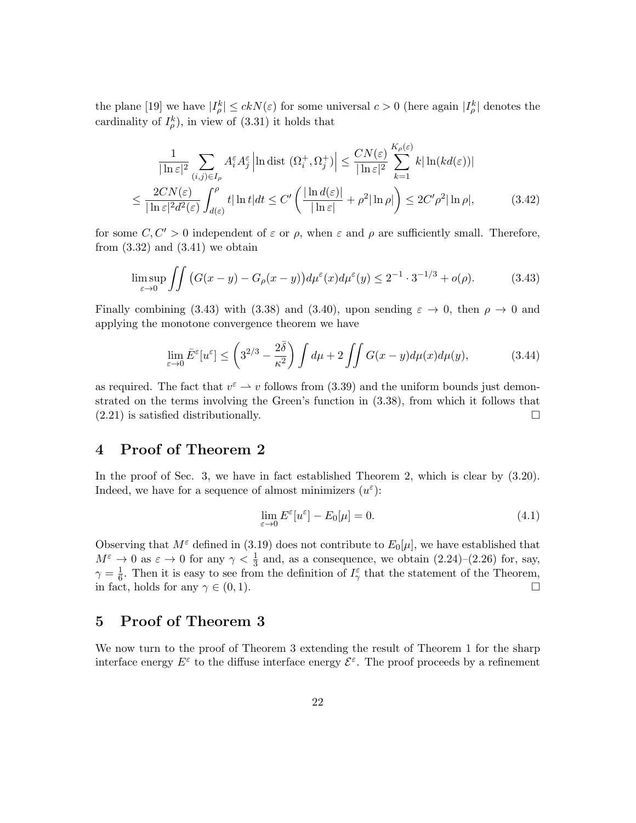the plane [19] we have  $|I_{\rho}^{k}| \leq ckN(\varepsilon)$  for some universal  $c > 0$  (here again  $|I_{\rho}^{k}|$  denotes the cardinality of  $I_{\rho}^{k}$ ), in view of (3.31) it holds that

$$
\frac{1}{|\ln \varepsilon|^2} \sum_{(i,j)\in I_\rho} A_i^{\varepsilon} A_j^{\varepsilon} \left| \ln \operatorname{dist} \left( \Omega_i^+, \Omega_j^+ \right) \right| \leq \frac{CN(\varepsilon)}{|\ln \varepsilon|^2} \sum_{k=1}^{K_\rho(\varepsilon)} k |\ln (kd(\varepsilon))|
$$
  

$$
\leq \frac{2CN(\varepsilon)}{|\ln \varepsilon|^2 d^2(\varepsilon)} \int_{d(\varepsilon)}^{\rho} t |\ln t| dt \leq C' \left( \frac{|\ln d(\varepsilon)|}{|\ln \varepsilon|} + \rho^2 |\ln \rho| \right) \leq 2C' \rho^2 |\ln \rho|, \tag{3.42}
$$

for some  $C, C' > 0$  independent of  $\varepsilon$  or  $\rho$ , when  $\varepsilon$  and  $\rho$  are sufficiently small. Therefore, from  $(3.32)$  and  $(3.41)$  we obtain

$$
\limsup_{\varepsilon \to 0} \iint \left( G(x - y) - G_{\rho}(x - y) \right) d\mu^{\varepsilon}(x) d\mu^{\varepsilon}(y) \le 2^{-1} \cdot 3^{-1/3} + o(\rho). \tag{3.43}
$$

Finally combining (3.43) with (3.38) and (3.40), upon sending  $\varepsilon \to 0$ , then  $\rho \to 0$  and applying the monotone convergence theorem we have

$$
\lim_{\varepsilon \to 0} \bar{E}^{\varepsilon}[u^{\varepsilon}] \le \left(3^{2/3} - \frac{2\bar{\delta}}{\kappa^2}\right) \int d\mu + 2 \iint G(x - y) d\mu(x) d\mu(y),\tag{3.44}
$$

as required. The fact that  $v^{\epsilon} \to v$  follows from (3.39) and the uniform bounds just demonstrated on the terms involving the Green's function in (3.38), from which it follows that  $(2.21)$  is satisfied distributionally.

## 4 Proof of Theorem 2

In the proof of Sec. 3, we have in fact established Theorem 2, which is clear by  $(3.20)$ . Indeed, we have for a sequence of almost minimizers  $(u^{\varepsilon})$ :

$$
\lim_{\varepsilon \to 0} E^{\varepsilon}[u^{\varepsilon}] - E_0[\mu] = 0. \tag{4.1}
$$

Observing that  $M^{\varepsilon}$  defined in (3.19) does not contribute to  $E_0[\mu]$ , we have established that  $M^{\varepsilon} \to 0$  as  $\varepsilon \to 0$  for any  $\gamma < \frac{1}{3}$  and, as a consequence, we obtain  $(2.24)-(2.26)$  for, say,  $\gamma = \frac{1}{6}$  $\frac{1}{6}$ . Then it is easy to see from the definition of  $I_{\gamma}^{\varepsilon}$  that the statement of the Theorem, in fact, holds for any  $\gamma \in (0,1)$ .

# 5 Proof of Theorem 3

We now turn to the proof of Theorem 3 extending the result of Theorem 1 for the sharp interface energy  $E^{\varepsilon}$  to the diffuse interface energy  $\mathcal{E}^{\varepsilon}$ . The proof proceeds by a refinement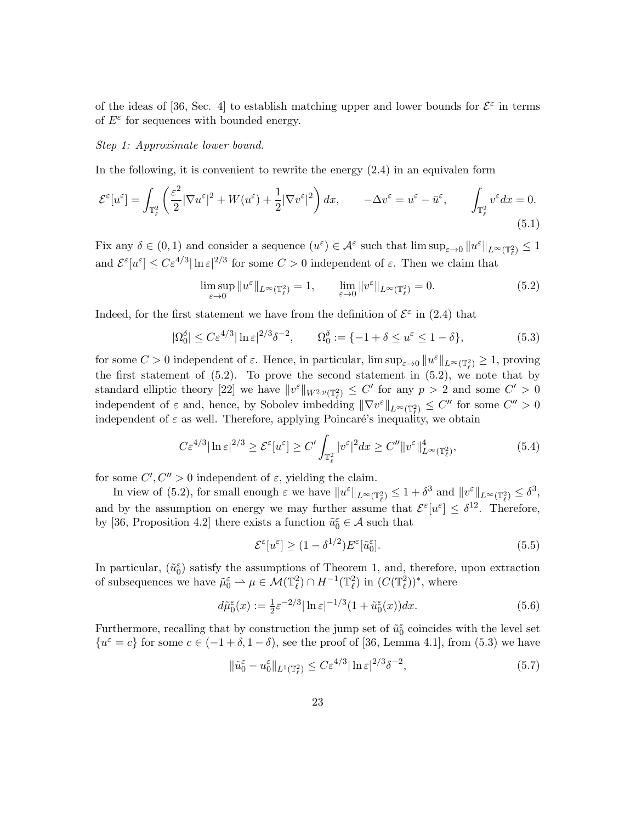of the ideas of [36, Sec. 4] to establish matching upper and lower bounds for  $\mathcal{E}^{\varepsilon}$  in terms of  $E^{\varepsilon}$  for sequences with bounded energy.

#### Step 1: Approximate lower bound.

In the following, it is convenient to rewrite the energy (2.4) in an equivalen form

$$
\mathcal{E}^{\varepsilon}[u^{\varepsilon}] = \int_{\mathbb{T}_{\ell}^{2}} \left( \frac{\varepsilon^{2}}{2} |\nabla u^{\varepsilon}|^{2} + W(u^{\varepsilon}) + \frac{1}{2} |\nabla v^{\varepsilon}|^{2} \right) dx, \qquad -\Delta v^{\varepsilon} = u^{\varepsilon} - \bar{u}^{\varepsilon}, \qquad \int_{\mathbb{T}_{\ell}^{2}} v^{\varepsilon} dx = 0.
$$
\n(5.1)

Fix any  $\delta \in (0,1)$  and consider a sequence  $(u^{\varepsilon}) \in \mathcal{A}^{\varepsilon}$  such that  $\limsup_{\varepsilon \to 0} ||u^{\varepsilon}||_{L^{\infty}(\mathbb{T}_{\ell}^2)} \leq 1$ and  $\mathcal{E}^{\varepsilon}[u^{\varepsilon}] \leq C \varepsilon^{4/3} |\ln \varepsilon|^{2/3}$  for some  $C > 0$  independent of  $\varepsilon$ . Then we claim that

$$
\limsup_{\varepsilon \to 0} \|u^{\varepsilon}\|_{L^{\infty}(\mathbb{T}^2_{\ell})} = 1, \qquad \lim_{\varepsilon \to 0} \|v^{\varepsilon}\|_{L^{\infty}(\mathbb{T}^2_{\ell})} = 0.
$$
\n(5.2)

Indeed, for the first statement we have from the definition of  $\mathcal{E}^{\varepsilon}$  in (2.4) that

$$
|\Omega_0^{\delta}| \le C\varepsilon^{4/3} |\ln \varepsilon|^{2/3} \delta^{-2}, \qquad \Omega_0^{\delta} := \{-1 + \delta \le u^{\varepsilon} \le 1 - \delta\},\tag{5.3}
$$

for some  $C > 0$  independent of  $\varepsilon$ . Hence, in particular,  $\limsup_{\varepsilon \to 0} ||u^{\varepsilon}||_{L^{\infty}(\mathbb{T}_{\ell}^2)} \geq 1$ , proving the first statement of  $(5.2)$ . To prove the second statement in  $(5.2)$ , we note that by standard elliptic theory [22] we have  $||v^{\varepsilon}||_{W^{2,p}(\mathbb{T}_\ell^2)} \leq C'$  for any  $p > 2$  and some  $C' > 0$ independent of  $\varepsilon$  and, hence, by Sobolev imbedding  $\|\nabla v^{\varepsilon}\|_{L^{\infty}(\mathbb{T}_\ell^2)} \leq C''$  for some  $C'' > 0$ independent of  $\varepsilon$  as well. Therefore, applying Poincaré's inequality, we obtain

$$
C\varepsilon^{4/3}|\ln\varepsilon|^{2/3} \ge \mathcal{E}^{\varepsilon}[u^{\varepsilon}] \ge C' \int_{\mathbb{T}_{\ell}^2} |v^{\varepsilon}|^2 dx \ge C'' \|v^{\varepsilon}\|_{L^{\infty}(\mathbb{T}_{\ell}^2)}^4,
$$
\n(5.4)

for some  $C', C'' > 0$  independent of  $\varepsilon$ , yielding the claim.

In view of (5.2), for small enough  $\varepsilon$  we have  $||u^{\varepsilon}||_{L^{\infty}(\mathbb{T}_{\ell}^2)} \leq 1 + \delta^3$  and  $||v^{\varepsilon}||_{L^{\infty}(\mathbb{T}_{\ell}^2)} \leq \delta^3$ , and by the assumption on energy we may further assume that  $\mathcal{E}^{\varepsilon}[u^{\varepsilon}] \leq \delta^{12}$ . Therefore, by [36, Proposition 4.2] there exists a function  $\tilde{u}_0^{\varepsilon} \in \mathcal{A}$  such that

$$
\mathcal{E}^{\varepsilon}[u^{\varepsilon}] \ge (1 - \delta^{1/2}) E^{\varepsilon}[\tilde{u}_0^{\varepsilon}]. \tag{5.5}
$$

In particular,  $(\tilde{u}_0^{\varepsilon})$  satisfy the assumptions of Theorem 1, and, therefore, upon extraction of subsequences we have  $\tilde{\mu}_0^{\varepsilon} \to \mu \in \mathcal{M}(\mathbb{T}_{\ell}^2) \cap H^{-1}(\mathbb{T}_{\ell}^2)$  in  $(C(\mathbb{T}_{\ell}^2))^*$ , where

$$
d\tilde{\mu}_0^{\varepsilon}(x) := \frac{1}{2}\varepsilon^{-2/3}|\ln \varepsilon|^{-1/3} (1 + \tilde{u}_0^{\varepsilon}(x))dx.
$$
 (5.6)

Furthermore, recalling that by construction the jump set of  $\tilde{u}_0^{\varepsilon}$  coincides with the level set  $\{u^{\varepsilon} = c\}$  for some  $c \in (-1 + \delta, 1 - \delta)$ , see the proof of [36, Lemma 4.1], from (5.3) we have

$$
\|\tilde{u}_0^{\varepsilon} - u_0^{\varepsilon}\|_{L^1(\mathbb{T}_\ell^2)} \le C\varepsilon^{4/3} |\ln \varepsilon|^{2/3} \delta^{-2},\tag{5.7}
$$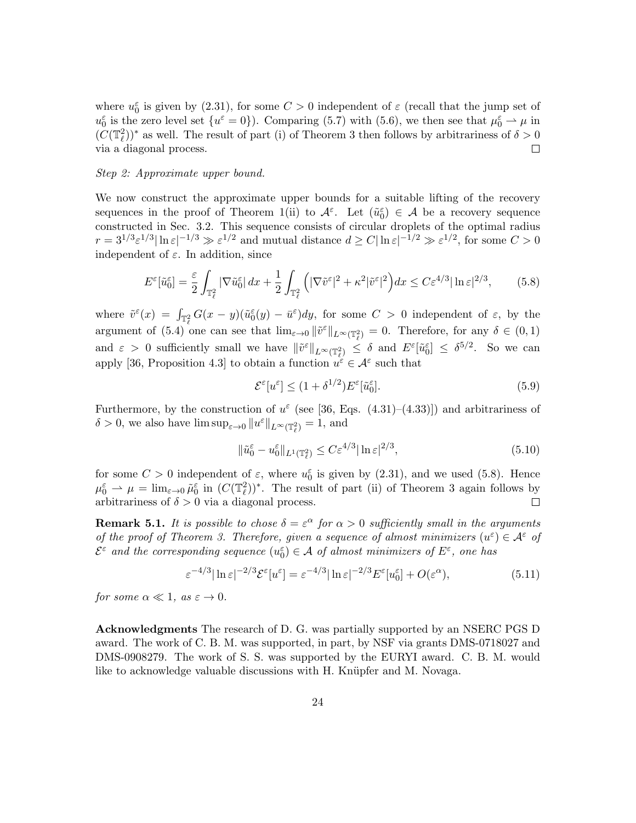where  $u_0^{\varepsilon}$  is given by (2.31), for some  $C > 0$  independent of  $\varepsilon$  (recall that the jump set of  $u_0^{\varepsilon}$  is the zero level set  $\{u^{\varepsilon} = 0\}$ . Comparing (5.7) with (5.6), we then see that  $\mu_0^{\varepsilon} \rightharpoonup \mu$  in  $(C(\mathbb{T}_{\ell}^2))^*$  as well. The result of part (i) of Theorem 3 then follows by arbitrariness of  $\delta > 0$ via a diagonal process.  $\Box$ 

#### Step 2: Approximate upper bound.

We now construct the approximate upper bounds for a suitable lifting of the recovery sequences in the proof of Theorem 1(ii) to  $\mathcal{A}^{\varepsilon}$ . Let  $(\tilde{u}_{0}^{\varepsilon}) \in \mathcal{A}$  be a recovery sequence constructed in Sec. 3.2. This sequence consists of circular droplets of the optimal radius  $r = 3^{1/3} \varepsilon^{1/3} |\ln \varepsilon|^{-1/3} \gg \varepsilon^{1/2}$  and mutual distance  $d \ge C |\ln \varepsilon|^{-1/2} \gg \varepsilon^{1/2}$ , for some  $C > 0$ independent of  $\varepsilon$ . In addition, since

$$
E^{\varepsilon}[\tilde{u}_0^{\varepsilon}] = \frac{\varepsilon}{2} \int_{\mathbb{T}_\ell^2} |\nabla \tilde{u}_0^{\varepsilon}| \, dx + \frac{1}{2} \int_{\mathbb{T}_\ell^2} \left( |\nabla \tilde{v}^{\varepsilon}|^2 + \kappa^2 |\tilde{v}^{\varepsilon}|^2 \right) dx \le C \varepsilon^{4/3} |\ln \varepsilon|^{2/3},\tag{5.8}
$$

where  $\tilde{v}^{\varepsilon}(x) = \int_{\mathbb{T}_{\varepsilon}^2} G(x - y)(\tilde{u}_0^{\varepsilon}(y) - \bar{u}^{\varepsilon})dy$ , for some  $C > 0$  independent of  $\varepsilon$ , by the argument of (5.4) one can see that  $\lim_{\varepsilon \to 0} \|\tilde{v}^{\varepsilon}\|_{L^{\infty}(\mathbb{T}_{\ell}^2)} = 0$ . Therefore, for any  $\delta \in (0,1)$ and  $\varepsilon > 0$  sufficiently small we have  $\|\tilde{v}^{\varepsilon}\|_{L^{\infty}(\mathbb{T}_{\ell}^2)} \leq \delta$  and  $E^{\varepsilon}[\tilde{u}_{0}^{\varepsilon}] \leq \delta^{5/2}$ . So we can apply [36, Proposition 4.3] to obtain a function  $u^{\varepsilon} \in \mathcal{A}^{\varepsilon}$  such that

$$
\mathcal{E}^{\varepsilon}[u^{\varepsilon}] \le (1 + \delta^{1/2}) E^{\varepsilon}[\tilde{u}_0^{\varepsilon}]. \tag{5.9}
$$

Furthermore, by the construction of  $u^{\varepsilon}$  (see [36, Eqs. (4.31)–(4.33)]) and arbitrariness of  $\delta > 0$ , we also have  $\limsup_{\varepsilon \to 0} ||u^{\varepsilon}||_{L^{\infty}(\mathbb{T}_\ell^2)} = 1$ , and

$$
\|\tilde{u}_0^{\varepsilon} - u_0^{\varepsilon}\|_{L^1(\mathbb{T}_\ell^2)} \le C\varepsilon^{4/3} |\ln \varepsilon|^{2/3},\tag{5.10}
$$

for some  $C > 0$  independent of  $\varepsilon$ , where  $u_0^{\varepsilon}$  is given by (2.31), and we used (5.8). Hence  $\mu_0^{\varepsilon} \rightharpoonup \mu = \lim_{\varepsilon \to 0} \tilde{\mu}_0^{\varepsilon}$  in  $(C(\mathbb{T}_{\ell}^2))^*$ . The result of part (ii) of Theorem 3 again follows by arbitrariness of  $\delta > 0$  via a diagonal process.  $\Box$ 

**Remark 5.1.** It is possible to chose  $\delta = \varepsilon^{\alpha}$  for  $\alpha > 0$  sufficiently small in the arguments of the proof of Theorem 3. Therefore, given a sequence of almost minimizers  $(u^{\varepsilon}) \in \mathcal{A}^{\varepsilon}$  of  $\mathcal{E}^{\varepsilon}$  and the corresponding sequence  $(u_0^{\varepsilon}) \in \mathcal{A}$  of almost minimizers of  $E^{\varepsilon}$ , one has

$$
\varepsilon^{-4/3} |\ln \varepsilon|^{-2/3} \mathcal{E}^{\varepsilon}[u^{\varepsilon}] = \varepsilon^{-4/3} |\ln \varepsilon|^{-2/3} E^{\varepsilon}[u_0^{\varepsilon}] + O(\varepsilon^{\alpha}), \tag{5.11}
$$

for some  $\alpha \ll 1$ , as  $\varepsilon \to 0$ .

Acknowledgments The research of D. G. was partially supported by an NSERC PGS D award. The work of C. B. M. was supported, in part, by NSF via grants DMS-0718027 and DMS-0908279. The work of S. S. was supported by the EURYI award. C. B. M. would like to acknowledge valuable discussions with H. Knüpfer and M. Novaga.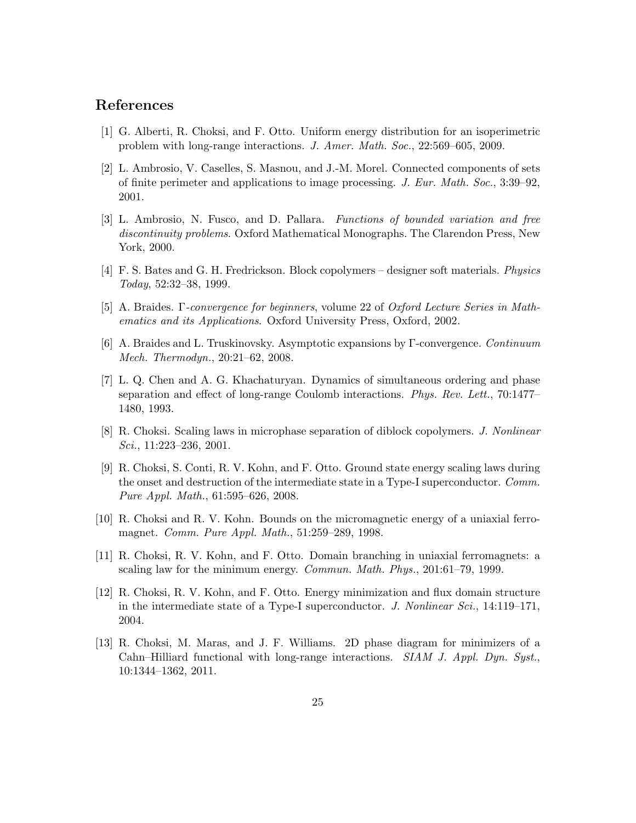# References

- [1] G. Alberti, R. Choksi, and F. Otto. Uniform energy distribution for an isoperimetric problem with long-range interactions. J. Amer. Math. Soc., 22:569–605, 2009.
- [2] L. Ambrosio, V. Caselles, S. Masnou, and J.-M. Morel. Connected components of sets of finite perimeter and applications to image processing. J. Eur. Math. Soc., 3:39–92, 2001.
- [3] L. Ambrosio, N. Fusco, and D. Pallara. Functions of bounded variation and free discontinuity problems. Oxford Mathematical Monographs. The Clarendon Press, New York, 2000.
- [4] F. S. Bates and G. H. Fredrickson. Block copolymers designer soft materials. Physics Today, 52:32–38, 1999.
- [5] A. Braides. Γ-convergence for beginners, volume 22 of Oxford Lecture Series in Mathematics and its Applications. Oxford University Press, Oxford, 2002.
- [6] A. Braides and L. Truskinovsky. Asymptotic expansions by Γ-convergence. Continuum Mech. Thermodyn., 20:21–62, 2008.
- [7] L. Q. Chen and A. G. Khachaturyan. Dynamics of simultaneous ordering and phase separation and effect of long-range Coulomb interactions. Phys. Rev. Lett., 70:1477– 1480, 1993.
- [8] R. Choksi. Scaling laws in microphase separation of diblock copolymers. J. Nonlinear Sci., 11:223–236, 2001.
- [9] R. Choksi, S. Conti, R. V. Kohn, and F. Otto. Ground state energy scaling laws during the onset and destruction of the intermediate state in a Type-I superconductor. Comm. Pure Appl. Math., 61:595–626, 2008.
- [10] R. Choksi and R. V. Kohn. Bounds on the micromagnetic energy of a uniaxial ferromagnet. Comm. Pure Appl. Math., 51:259–289, 1998.
- [11] R. Choksi, R. V. Kohn, and F. Otto. Domain branching in uniaxial ferromagnets: a scaling law for the minimum energy. Commun. Math. Phys., 201:61–79, 1999.
- [12] R. Choksi, R. V. Kohn, and F. Otto. Energy minimization and flux domain structure in the intermediate state of a Type-I superconductor. J. Nonlinear Sci., 14:119–171, 2004.
- [13] R. Choksi, M. Maras, and J. F. Williams. 2D phase diagram for minimizers of a Cahn–Hilliard functional with long-range interactions. SIAM J. Appl. Dyn. Syst., 10:1344–1362, 2011.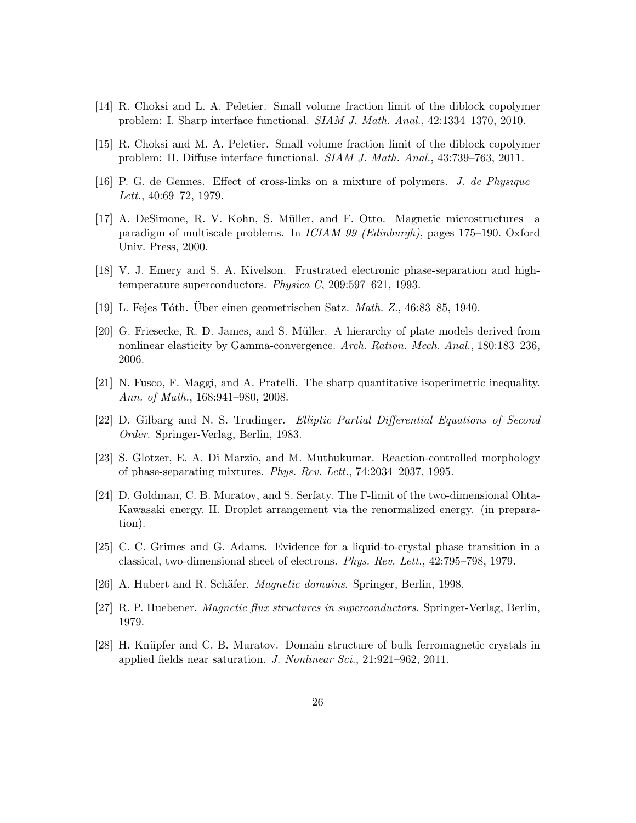- [14] R. Choksi and L. A. Peletier. Small volume fraction limit of the diblock copolymer problem: I. Sharp interface functional. SIAM J. Math. Anal., 42:1334–1370, 2010.
- [15] R. Choksi and M. A. Peletier. Small volume fraction limit of the diblock copolymer problem: II. Diffuse interface functional. SIAM J. Math. Anal., 43:739–763, 2011.
- [16] P. G. de Gennes. Effect of cross-links on a mixture of polymers. J. de Physique Lett., 40:69–72, 1979.
- [17] A. DeSimone, R. V. Kohn, S. Müller, and F. Otto. Magnetic microstructures—a paradigm of multiscale problems. In ICIAM 99 (Edinburgh), pages 175–190. Oxford Univ. Press, 2000.
- [18] V. J. Emery and S. A. Kivelson. Frustrated electronic phase-separation and hightemperature superconductors. Physica C, 209:597–621, 1993.
- [19] L. Fejes Tóth. Über einen geometrischen Satz. Math. Z., 46:83–85, 1940.
- [20] G. Friesecke, R. D. James, and S. Müller. A hierarchy of plate models derived from nonlinear elasticity by Gamma-convergence. Arch. Ration. Mech. Anal., 180:183–236, 2006.
- [21] N. Fusco, F. Maggi, and A. Pratelli. The sharp quantitative isoperimetric inequality. Ann. of Math., 168:941–980, 2008.
- [22] D. Gilbarg and N. S. Trudinger. Elliptic Partial Differential Equations of Second Order. Springer-Verlag, Berlin, 1983.
- [23] S. Glotzer, E. A. Di Marzio, and M. Muthukumar. Reaction-controlled morphology of phase-separating mixtures. Phys. Rev. Lett., 74:2034–2037, 1995.
- [24] D. Goldman, C. B. Muratov, and S. Serfaty. The Γ-limit of the two-dimensional Ohta-Kawasaki energy. II. Droplet arrangement via the renormalized energy. (in preparation).
- [25] C. C. Grimes and G. Adams. Evidence for a liquid-to-crystal phase transition in a classical, two-dimensional sheet of electrons. Phys. Rev. Lett., 42:795–798, 1979.
- [26] A. Hubert and R. Schäfer. *Magnetic domains*. Springer, Berlin, 1998.
- [27] R. P. Huebener. Magnetic flux structures in superconductors. Springer-Verlag, Berlin, 1979.
- [28] H. Knüpfer and C. B. Muratov. Domain structure of bulk ferromagnetic crystals in applied fields near saturation. J. Nonlinear Sci., 21:921–962, 2011.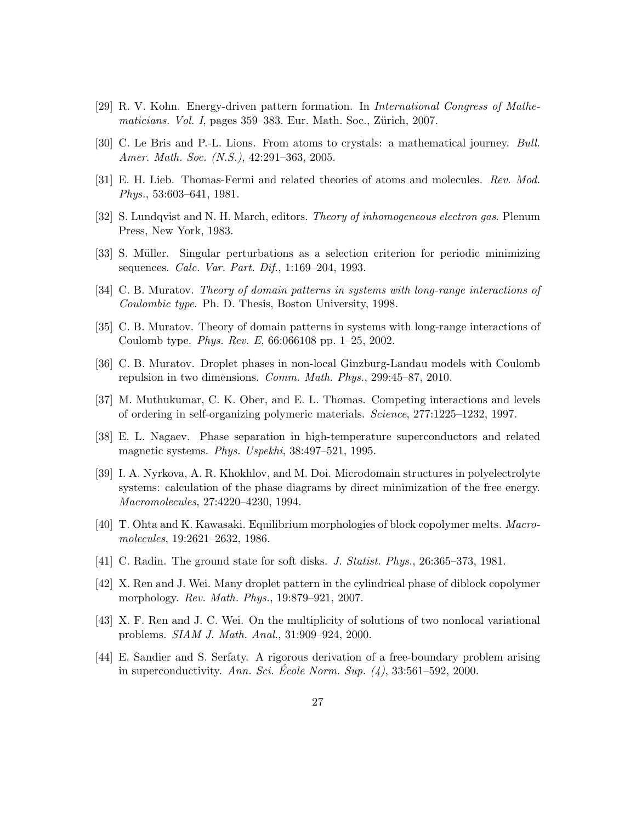- [29] R. V. Kohn. Energy-driven pattern formation. In International Congress of Mathe $maticians. Vol. I, pages 359–383. Eur. Math. Soc., Zürich, 2007.$
- [30] C. Le Bris and P.-L. Lions. From atoms to crystals: a mathematical journey. Bull. Amer. Math. Soc. (N.S.), 42:291–363, 2005.
- [31] E. H. Lieb. Thomas-Fermi and related theories of atoms and molecules. Rev. Mod. Phys., 53:603–641, 1981.
- [32] S. Lundqvist and N. H. March, editors. Theory of inhomogeneous electron gas. Plenum Press, New York, 1983.
- [33] S. Müller. Singular perturbations as a selection criterion for periodic minimizing sequences. Calc. Var. Part. Dif., 1:169–204, 1993.
- [34] C. B. Muratov. Theory of domain patterns in systems with long-range interactions of Coulombic type. Ph. D. Thesis, Boston University, 1998.
- [35] C. B. Muratov. Theory of domain patterns in systems with long-range interactions of Coulomb type. Phys. Rev. E, 66:066108 pp. 1–25, 2002.
- [36] C. B. Muratov. Droplet phases in non-local Ginzburg-Landau models with Coulomb repulsion in two dimensions. Comm. Math. Phys., 299:45–87, 2010.
- [37] M. Muthukumar, C. K. Ober, and E. L. Thomas. Competing interactions and levels of ordering in self-organizing polymeric materials. Science, 277:1225–1232, 1997.
- [38] E. L. Nagaev. Phase separation in high-temperature superconductors and related magnetic systems. Phys. Uspekhi, 38:497–521, 1995.
- [39] I. A. Nyrkova, A. R. Khokhlov, and M. Doi. Microdomain structures in polyelectrolyte systems: calculation of the phase diagrams by direct minimization of the free energy. Macromolecules, 27:4220–4230, 1994.
- [40] T. Ohta and K. Kawasaki. Equilibrium morphologies of block copolymer melts. Macromolecules, 19:2621–2632, 1986.
- [41] C. Radin. The ground state for soft disks. J. Statist. Phys., 26:365–373, 1981.
- [42] X. Ren and J. Wei. Many droplet pattern in the cylindrical phase of diblock copolymer morphology. Rev. Math. Phys., 19:879–921, 2007.
- [43] X. F. Ren and J. C. Wei. On the multiplicity of solutions of two nonlocal variational problems. SIAM J. Math. Anal., 31:909–924, 2000.
- [44] E. Sandier and S. Serfaty. A rigorous derivation of a free-boundary problem arising in superconductivity. Ann. Sci. Ecole Norm. Sup.  $(4)$ , 33:561–592, 2000.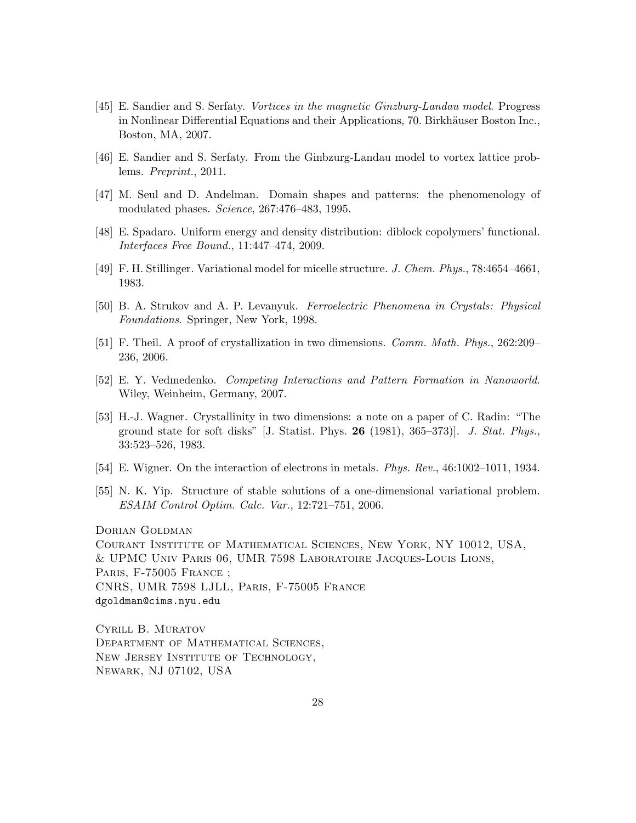- [45] E. Sandier and S. Serfaty. Vortices in the magnetic Ginzburg-Landau model. Progress in Nonlinear Differential Equations and their Applications, 70. Birkhäuser Boston Inc., Boston, MA, 2007.
- [46] E. Sandier and S. Serfaty. From the Ginbzurg-Landau model to vortex lattice problems. Preprint., 2011.
- [47] M. Seul and D. Andelman. Domain shapes and patterns: the phenomenology of modulated phases. Science, 267:476–483, 1995.
- [48] E. Spadaro. Uniform energy and density distribution: diblock copolymers' functional. Interfaces Free Bound., 11:447–474, 2009.
- [49] F. H. Stillinger. Variational model for micelle structure. J. Chem. Phys., 78:4654–4661, 1983.
- [50] B. A. Strukov and A. P. Levanyuk. Ferroelectric Phenomena in Crystals: Physical Foundations. Springer, New York, 1998.
- [51] F. Theil. A proof of crystallization in two dimensions. Comm. Math. Phys., 262:209– 236, 2006.
- [52] E. Y. Vedmedenko. Competing Interactions and Pattern Formation in Nanoworld. Wiley, Weinheim, Germany, 2007.
- [53] H.-J. Wagner. Crystallinity in two dimensions: a note on a paper of C. Radin: "The ground state for soft disks"  $[J. \text{ Statist. Phys. } 26 (1981), 365-373]$ . J. Stat. Phys., 33:523–526, 1983.
- [54] E. Wigner. On the interaction of electrons in metals. Phys. Rev., 46:1002–1011, 1934.
- [55] N. K. Yip. Structure of stable solutions of a one-dimensional variational problem. ESAIM Control Optim. Calc. Var., 12:721–751, 2006.

DORIAN GOLDMAN Courant Institute of Mathematical Sciences, New York, NY 10012, USA, & UPMC Univ Paris 06, UMR 7598 Laboratoire Jacques-Louis Lions, PARIS, F-75005 FRANCE ; CNRS, UMR 7598 LJLL, Paris, F-75005 France dgoldman@cims.nyu.edu

Cyrill B. Muratov Department of Mathematical Sciences, NEW JERSEY INSTITUTE OF TECHNOLOGY, Newark, NJ 07102, USA